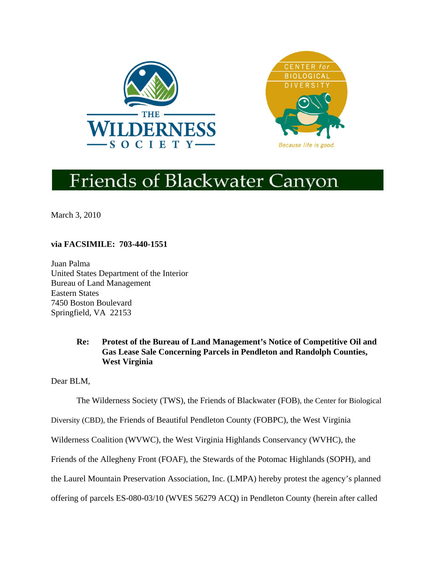



# **Friends of Blackwater Canyon**

March 3, 2010

# **via FACSIMILE: 703-440-1551**

Juan Palma United States Department of the Interior Bureau of Land Management Eastern States 7450 Boston Boulevard Springfield, VA 22153

# **Re: Protest of the Bureau of Land Management's Notice of Competitive Oil and Gas Lease Sale Concerning Parcels in Pendleton and Randolph Counties, West Virginia**

Dear BLM,

The Wilderness Society (TWS), the Friends of Blackwater (FOB), the Center for Biological

Diversity (CBD), the Friends of Beautiful Pendleton County (FOBPC), the West Virginia

Wilderness Coalition (WVWC), the West Virginia Highlands Conservancy (WVHC), the

Friends of the Allegheny Front (FOAF), the Stewards of the Potomac Highlands (SOPH), and

the Laurel Mountain Preservation Association, Inc. (LMPA) hereby protest the agency's planned

offering of parcels ES-080-03/10 (WVES 56279 ACQ) in Pendleton County (herein after called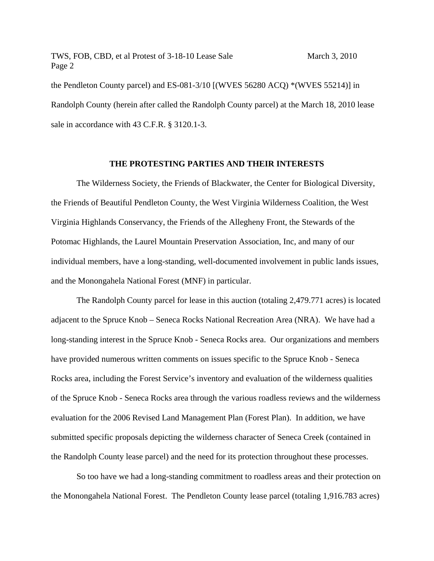the Pendleton County parcel) and ES-081-3/10 [(WVES 56280 ACQ) \*(WVES 55214)] in Randolph County (herein after called the Randolph County parcel) at the March 18, 2010 lease sale in accordance with 43 C.F.R. § 3120.1-3.

#### **THE PROTESTING PARTIES AND THEIR INTERESTS**

The Wilderness Society, the Friends of Blackwater, the Center for Biological Diversity, the Friends of Beautiful Pendleton County, the West Virginia Wilderness Coalition, the West Virginia Highlands Conservancy, the Friends of the Allegheny Front, the Stewards of the Potomac Highlands, the Laurel Mountain Preservation Association, Inc, and many of our individual members, have a long-standing, well-documented involvement in public lands issues, and the Monongahela National Forest (MNF) in particular.

The Randolph County parcel for lease in this auction (totaling 2,479.771 acres) is located adjacent to the Spruce Knob – Seneca Rocks National Recreation Area (NRA). We have had a long-standing interest in the Spruce Knob - Seneca Rocks area. Our organizations and members have provided numerous written comments on issues specific to the Spruce Knob - Seneca Rocks area, including the Forest Service's inventory and evaluation of the wilderness qualities of the Spruce Knob - Seneca Rocks area through the various roadless reviews and the wilderness evaluation for the 2006 Revised Land Management Plan (Forest Plan). In addition, we have submitted specific proposals depicting the wilderness character of Seneca Creek (contained in the Randolph County lease parcel) and the need for its protection throughout these processes.

So too have we had a long-standing commitment to roadless areas and their protection on the Monongahela National Forest. The Pendleton County lease parcel (totaling 1,916.783 acres)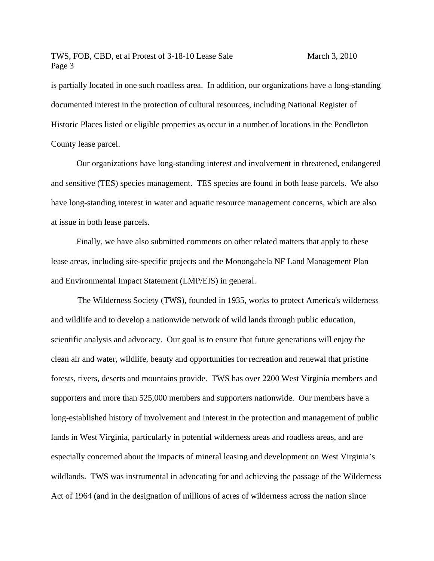is partially located in one such roadless area. In addition, our organizations have a long-standing documented interest in the protection of cultural resources, including National Register of Historic Places listed or eligible properties as occur in a number of locations in the Pendleton County lease parcel.

Our organizations have long-standing interest and involvement in threatened, endangered and sensitive (TES) species management. TES species are found in both lease parcels. We also have long-standing interest in water and aquatic resource management concerns, which are also at issue in both lease parcels.

Finally, we have also submitted comments on other related matters that apply to these lease areas, including site-specific projects and the Monongahela NF Land Management Plan and Environmental Impact Statement (LMP/EIS) in general.

The Wilderness Society (TWS), founded in 1935, works to protect America's wilderness and wildlife and to develop a nationwide network of wild lands through public education, scientific analysis and advocacy. Our goal is to ensure that future generations will enjoy the clean air and water, wildlife, beauty and opportunities for recreation and renewal that pristine forests, rivers, deserts and mountains provide. TWS has over 2200 West Virginia members and supporters and more than 525,000 members and supporters nationwide. Our members have a long-established history of involvement and interest in the protection and management of public lands in West Virginia, particularly in potential wilderness areas and roadless areas, and are especially concerned about the impacts of mineral leasing and development on West Virginia's wildlands. TWS was instrumental in advocating for and achieving the passage of the Wilderness Act of 1964 (and in the designation of millions of acres of wilderness across the nation since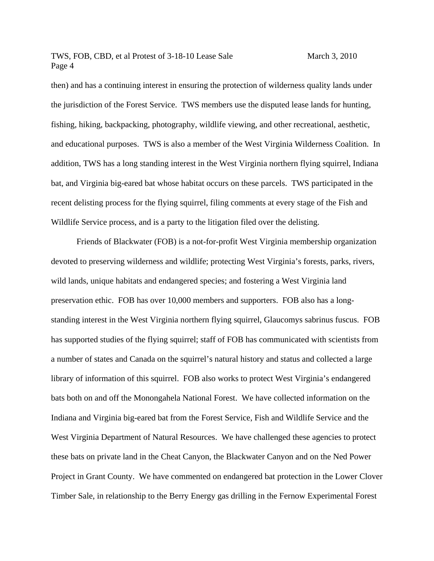then) and has a continuing interest in ensuring the protection of wilderness quality lands under the jurisdiction of the Forest Service. TWS members use the disputed lease lands for hunting, fishing, hiking, backpacking, photography, wildlife viewing, and other recreational, aesthetic, and educational purposes. TWS is also a member of the West Virginia Wilderness Coalition. In addition, TWS has a long standing interest in the West Virginia northern flying squirrel, Indiana bat, and Virginia big-eared bat whose habitat occurs on these parcels. TWS participated in the recent delisting process for the flying squirrel, filing comments at every stage of the Fish and Wildlife Service process, and is a party to the litigation filed over the delisting.

Friends of Blackwater (FOB) is a not-for-profit West Virginia membership organization devoted to preserving wilderness and wildlife; protecting West Virginia's forests, parks, rivers, wild lands, unique habitats and endangered species; and fostering a West Virginia land preservation ethic. FOB has over 10,000 members and supporters. FOB also has a longstanding interest in the West Virginia northern flying squirrel, Glaucomys sabrinus fuscus. FOB has supported studies of the flying squirrel; staff of FOB has communicated with scientists from a number of states and Canada on the squirrel's natural history and status and collected a large library of information of this squirrel. FOB also works to protect West Virginia's endangered bats both on and off the Monongahela National Forest. We have collected information on the Indiana and Virginia big-eared bat from the Forest Service, Fish and Wildlife Service and the West Virginia Department of Natural Resources. We have challenged these agencies to protect these bats on private land in the Cheat Canyon, the Blackwater Canyon and on the Ned Power Project in Grant County. We have commented on endangered bat protection in the Lower Clover Timber Sale, in relationship to the Berry Energy gas drilling in the Fernow Experimental Forest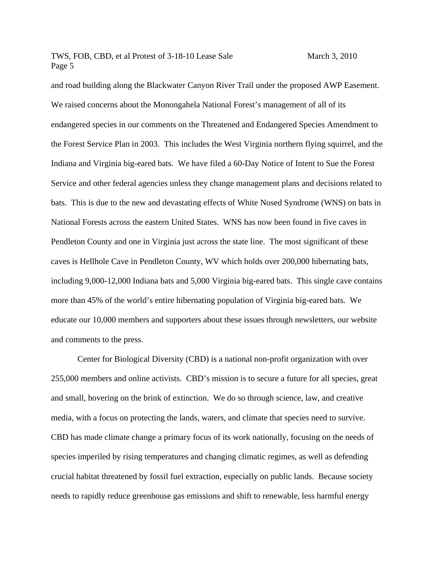and road building along the Blackwater Canyon River Trail under the proposed AWP Easement. We raised concerns about the Monongahela National Forest's management of all of its endangered species in our comments on the Threatened and Endangered Species Amendment to the Forest Service Plan in 2003. This includes the West Virginia northern flying squirrel, and the Indiana and Virginia big-eared bats. We have filed a 60-Day Notice of Intent to Sue the Forest Service and other federal agencies unless they change management plans and decisions related to bats. This is due to the new and devastating effects of White Nosed Syndrome (WNS) on bats in National Forests across the eastern United States. WNS has now been found in five caves in Pendleton County and one in Virginia just across the state line. The most significant of these caves is Hellhole Cave in Pendleton County, WV which holds over 200,000 hibernating bats, including 9,000-12,000 Indiana bats and 5,000 Virginia big-eared bats. This single cave contains more than 45% of the world's entire hibernating population of Virginia big-eared bats. We educate our 10,000 members and supporters about these issues through newsletters, our website and comments to the press.

Center for Biological Diversity (CBD) is a national non-profit organization with over 255,000 members and online activists. CBD's mission is to secure a future for all species, great and small, hovering on the brink of extinction. We do so through science, law, and creative media, with a focus on protecting the lands, waters, and climate that species need to survive. CBD has made climate change a primary focus of its work nationally, focusing on the needs of species imperiled by rising temperatures and changing climatic regimes, as well as defending crucial habitat threatened by fossil fuel extraction, especially on public lands. Because society needs to rapidly reduce greenhouse gas emissions and shift to renewable, less harmful energy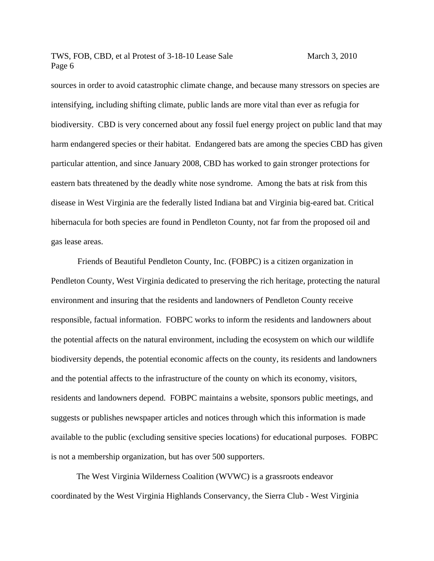sources in order to avoid catastrophic climate change, and because many stressors on species are intensifying, including shifting climate, public lands are more vital than ever as refugia for biodiversity. CBD is very concerned about any fossil fuel energy project on public land that may harm endangered species or their habitat. Endangered bats are among the species CBD has given particular attention, and since January 2008, CBD has worked to gain stronger protections for eastern bats threatened by the deadly white nose syndrome. Among the bats at risk from this disease in West Virginia are the federally listed Indiana bat and Virginia big-eared bat. Critical hibernacula for both species are found in Pendleton County, not far from the proposed oil and gas lease areas.

 Friends of Beautiful Pendleton County, Inc. (FOBPC) is a citizen organization in Pendleton County, West Virginia dedicated to preserving the rich heritage, protecting the natural environment and insuring that the residents and landowners of Pendleton County receive responsible, factual information. FOBPC works to inform the residents and landowners about the potential affects on the natural environment, including the ecosystem on which our wildlife biodiversity depends, the potential economic affects on the county, its residents and landowners and the potential affects to the infrastructure of the county on which its economy, visitors, residents and landowners depend. FOBPC maintains a website, sponsors public meetings, and suggests or publishes newspaper articles and notices through which this information is made available to the public (excluding sensitive species locations) for educational purposes. FOBPC is not a membership organization, but has over 500 supporters.

The West Virginia Wilderness Coalition (WVWC) is a grassroots endeavor coordinated by the West Virginia Highlands Conservancy, the Sierra Club - West Virginia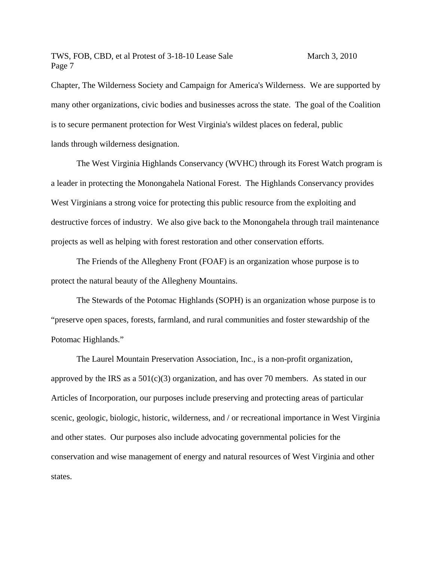Chapter, The Wilderness Society and Campaign for America's Wilderness. We are supported by many other organizations, civic bodies and businesses across the state. The goal of the Coalition is to secure permanent protection for West Virginia's wildest places on federal, public lands through wilderness designation.

The West Virginia Highlands Conservancy (WVHC) through its Forest Watch program is a leader in protecting the Monongahela National Forest. The Highlands Conservancy provides West Virginians a strong voice for protecting this public resource from the exploiting and destructive forces of industry. We also give back to the Monongahela through trail maintenance projects as well as helping with forest restoration and other conservation efforts.

The Friends of the Allegheny Front (FOAF) is an organization whose purpose is to protect the natural beauty of the Allegheny Mountains.

The Stewards of the Potomac Highlands (SOPH) is an organization whose purpose is to "preserve open spaces, forests, farmland, and rural communities and foster stewardship of the Potomac Highlands."

The Laurel Mountain Preservation Association, Inc., is a non-profit organization, approved by the IRS as a  $501(c)(3)$  organization, and has over 70 members. As stated in our Articles of Incorporation, our purposes include preserving and protecting areas of particular scenic, geologic, biologic, historic, wilderness, and / or recreational importance in West Virginia and other states. Our purposes also include advocating governmental policies for the conservation and wise management of energy and natural resources of West Virginia and other states.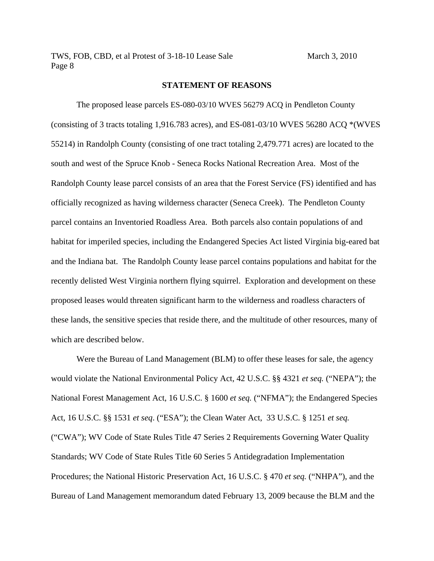#### **STATEMENT OF REASONS**

The proposed lease parcels ES-080-03/10 WVES 56279 ACQ in Pendleton County (consisting of 3 tracts totaling 1,916.783 acres), and ES-081-03/10 WVES 56280 ACQ \*(WVES 55214) in Randolph County (consisting of one tract totaling 2,479.771 acres) are located to the south and west of the Spruce Knob - Seneca Rocks National Recreation Area. Most of the Randolph County lease parcel consists of an area that the Forest Service (FS) identified and has officially recognized as having wilderness character (Seneca Creek). The Pendleton County parcel contains an Inventoried Roadless Area. Both parcels also contain populations of and habitat for imperiled species, including the Endangered Species Act listed Virginia big-eared bat and the Indiana bat. The Randolph County lease parcel contains populations and habitat for the recently delisted West Virginia northern flying squirrel. Exploration and development on these proposed leases would threaten significant harm to the wilderness and roadless characters of these lands, the sensitive species that reside there, and the multitude of other resources, many of which are described below.

Were the Bureau of Land Management (BLM) to offer these leases for sale, the agency would violate the National Environmental Policy Act, 42 U.S.C. §§ 4321 *et seq.* ("NEPA"); the National Forest Management Act, 16 U.S.C. § 1600 *et seq.* ("NFMA"); the Endangered Species Act, 16 U.S.C. §§ 1531 *et seq*. ("ESA"); the Clean Water Act, 33 U.S.C. § 1251 *et seq.* ("CWA"); WV Code of State Rules Title 47 Series 2 Requirements Governing Water Quality Standards; WV Code of State Rules Title 60 Series 5 Antidegradation Implementation Procedures; the National Historic Preservation Act, 16 U.S.C. § 470 *et seq.* ("NHPA"), and the Bureau of Land Management memorandum dated February 13, 2009 because the BLM and the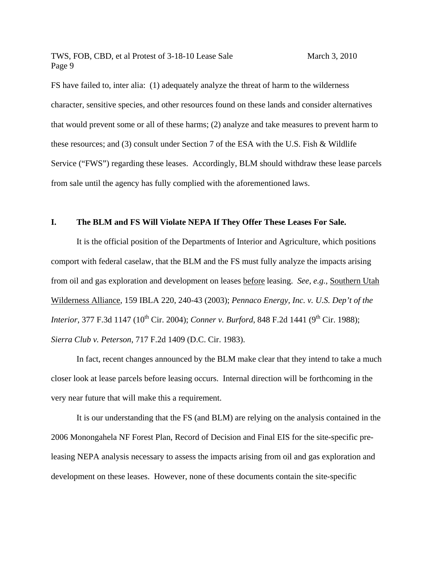FS have failed to, inter alia: (1) adequately analyze the threat of harm to the wilderness character, sensitive species, and other resources found on these lands and consider alternatives that would prevent some or all of these harms; (2) analyze and take measures to prevent harm to these resources; and (3) consult under Section 7 of the ESA with the U.S. Fish & Wildlife Service ("FWS") regarding these leases. Accordingly, BLM should withdraw these lease parcels from sale until the agency has fully complied with the aforementioned laws.

#### **I. The BLM and FS Will Violate NEPA If They Offer These Leases For Sale.**

It is the official position of the Departments of Interior and Agriculture, which positions comport with federal caselaw, that the BLM and the FS must fully analyze the impacts arising from oil and gas exploration and development on leases before leasing. *See, e.g.,* Southern Utah Wilderness Alliance, 159 IBLA 220, 240-43 (2003); *Pennaco Energy, Inc. v. U.S. Dep't of the Interior,* 377 F.3d 1147 (10<sup>th</sup> Cir. 2004); *Conner v. Burford*, 848 F.2d 1441 (9<sup>th</sup> Cir. 1988): *Sierra Club v. Peterson*, 717 F.2d 1409 (D.C. Cir. 1983).

In fact, recent changes announced by the BLM make clear that they intend to take a much closer look at lease parcels before leasing occurs. Internal direction will be forthcoming in the very near future that will make this a requirement.

It is our understanding that the FS (and BLM) are relying on the analysis contained in the 2006 Monongahela NF Forest Plan, Record of Decision and Final EIS for the site-specific preleasing NEPA analysis necessary to assess the impacts arising from oil and gas exploration and development on these leases. However, none of these documents contain the site-specific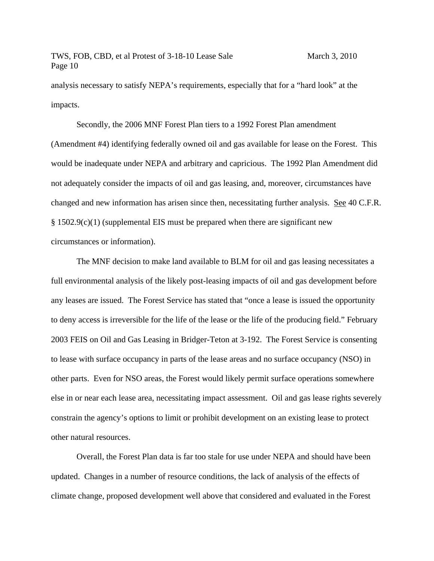analysis necessary to satisfy NEPA's requirements, especially that for a "hard look" at the impacts.

 Secondly, the 2006 MNF Forest Plan tiers to a 1992 Forest Plan amendment (Amendment #4) identifying federally owned oil and gas available for lease on the Forest. This would be inadequate under NEPA and arbitrary and capricious. The 1992 Plan Amendment did not adequately consider the impacts of oil and gas leasing, and, moreover, circumstances have changed and new information has arisen since then, necessitating further analysis. See 40 C.F.R. § 1502.9(c)(1) (supplemental EIS must be prepared when there are significant new circumstances or information).

The MNF decision to make land available to BLM for oil and gas leasing necessitates a full environmental analysis of the likely post-leasing impacts of oil and gas development before any leases are issued. The Forest Service has stated that "once a lease is issued the opportunity to deny access is irreversible for the life of the lease or the life of the producing field." February 2003 FEIS on Oil and Gas Leasing in Bridger-Teton at 3-192. The Forest Service is consenting to lease with surface occupancy in parts of the lease areas and no surface occupancy (NSO) in other parts. Even for NSO areas, the Forest would likely permit surface operations somewhere else in or near each lease area, necessitating impact assessment. Oil and gas lease rights severely constrain the agency's options to limit or prohibit development on an existing lease to protect other natural resources.

Overall, the Forest Plan data is far too stale for use under NEPA and should have been updated. Changes in a number of resource conditions, the lack of analysis of the effects of climate change, proposed development well above that considered and evaluated in the Forest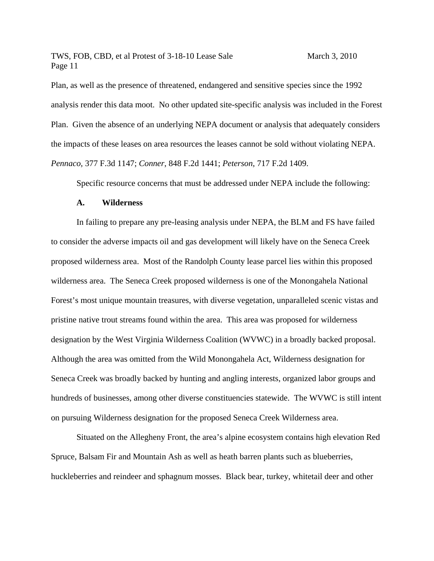Plan, as well as the presence of threatened, endangered and sensitive species since the 1992 analysis render this data moot. No other updated site-specific analysis was included in the Forest Plan. Given the absence of an underlying NEPA document or analysis that adequately considers the impacts of these leases on area resources the leases cannot be sold without violating NEPA. *Pennaco,* 377 F.3d 1147; *Conner*, 848 F.2d 1441; *Peterson*, 717 F.2d 1409.

Specific resource concerns that must be addressed under NEPA include the following:

#### **A. Wilderness**

In failing to prepare any pre-leasing analysis under NEPA, the BLM and FS have failed to consider the adverse impacts oil and gas development will likely have on the Seneca Creek proposed wilderness area. Most of the Randolph County lease parcel lies within this proposed wilderness area. The Seneca Creek proposed wilderness is one of the Monongahela National Forest's most unique mountain treasures, with diverse vegetation, unparalleled scenic vistas and pristine native trout streams found within the area. This area was proposed for wilderness designation by the West Virginia Wilderness Coalition (WVWC) in a broadly backed proposal. Although the area was omitted from the Wild Monongahela Act, Wilderness designation for Seneca Creek was broadly backed by hunting and angling interests, organized labor groups and hundreds of businesses, among other diverse constituencies statewide. The WVWC is still intent on pursuing Wilderness designation for the proposed Seneca Creek Wilderness area.

Situated on the Allegheny Front, the area's alpine ecosystem contains high elevation Red Spruce, Balsam Fir and Mountain Ash as well as heath barren plants such as blueberries, huckleberries and reindeer and sphagnum mosses. Black bear, turkey, whitetail deer and other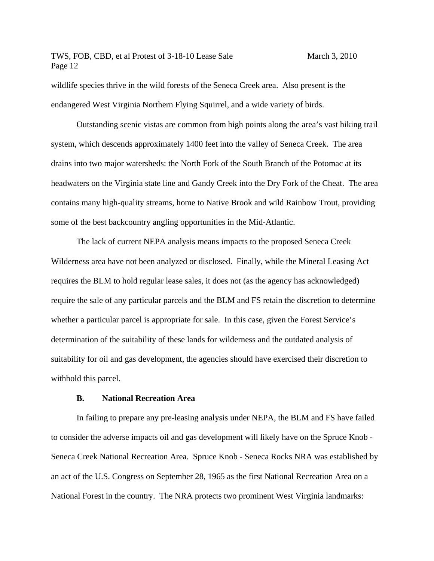wildlife species thrive in the wild forests of the Seneca Creek area. Also present is the endangered West Virginia Northern Flying Squirrel, and a wide variety of birds.

Outstanding scenic vistas are common from high points along the area's vast hiking trail system, which descends approximately 1400 feet into the valley of Seneca Creek. The area drains into two major watersheds: the North Fork of the South Branch of the Potomac at its headwaters on the Virginia state line and Gandy Creek into the Dry Fork of the Cheat. The area contains many high-quality streams, home to Native Brook and wild Rainbow Trout, providing some of the best backcountry angling opportunities in the Mid-Atlantic.

The lack of current NEPA analysis means impacts to the proposed Seneca Creek Wilderness area have not been analyzed or disclosed. Finally, while the Mineral Leasing Act requires the BLM to hold regular lease sales, it does not (as the agency has acknowledged) require the sale of any particular parcels and the BLM and FS retain the discretion to determine whether a particular parcel is appropriate for sale. In this case, given the Forest Service's determination of the suitability of these lands for wilderness and the outdated analysis of suitability for oil and gas development, the agencies should have exercised their discretion to withhold this parcel.

#### **B. National Recreation Area**

In failing to prepare any pre-leasing analysis under NEPA, the BLM and FS have failed to consider the adverse impacts oil and gas development will likely have on the Spruce Knob - Seneca Creek National Recreation Area. Spruce Knob - Seneca Rocks NRA was established by an act of the U.S. Congress on September 28, 1965 as the first National Recreation Area on a National Forest in the country. The NRA protects two prominent West Virginia landmarks: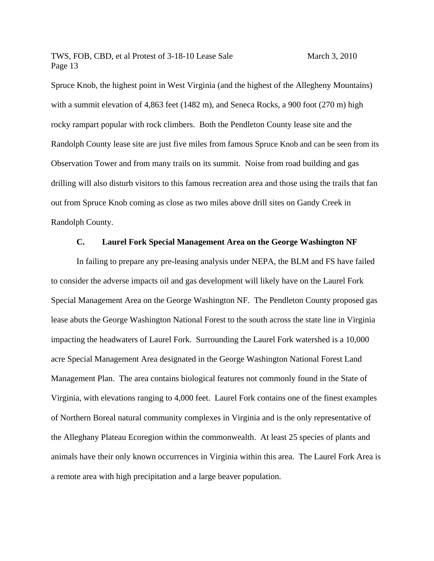Spruce Knob, the highest point in West Virginia (and the highest of the Allegheny Mountains) with a summit elevation of 4,863 feet (1482 m), and Seneca Rocks, a 900 foot (270 m) high rocky rampart popular with rock climbers. Both the Pendleton County lease site and the Randolph County lease site are just five miles from famous Spruce Knob and can be seen from its Observation Tower and from many trails on its summit. Noise from road building and gas drilling will also disturb visitors to this famous recreation area and those using the trails that fan out from Spruce Knob coming as close as two miles above drill sites on Gandy Creek in Randolph County.

#### **C. Laurel Fork Special Management Area on the George Washington NF**

In failing to prepare any pre-leasing analysis under NEPA, the BLM and FS have failed to consider the adverse impacts oil and gas development will likely have on the Laurel Fork Special Management Area on the George Washington NF. The Pendleton County proposed gas lease abuts the George Washington National Forest to the south across the state line in Virginia impacting the headwaters of Laurel Fork. Surrounding the Laurel Fork watershed is a 10,000 acre Special Management Area designated in the George Washington National Forest Land Management Plan. The area contains biological features not commonly found in the State of Virginia, with elevations ranging to 4,000 feet. Laurel Fork contains one of the finest examples of Northern Boreal natural community complexes in Virginia and is the only representative of the Alleghany Plateau Ecoregion within the commonwealth. At least 25 species of plants and animals have their only known occurrences in Virginia within this area. The Laurel Fork Area is a remote area with high precipitation and a large beaver population.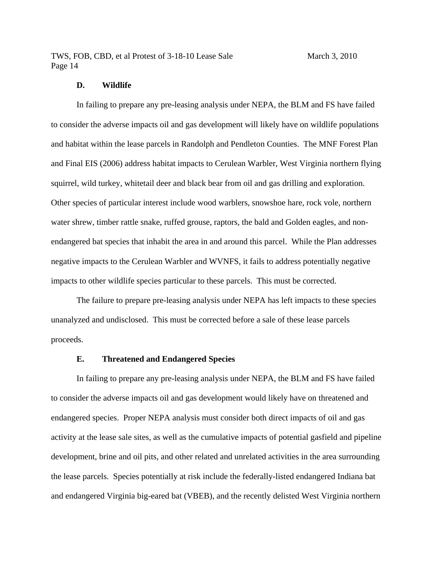#### **D. Wildlife**

In failing to prepare any pre-leasing analysis under NEPA, the BLM and FS have failed to consider the adverse impacts oil and gas development will likely have on wildlife populations and habitat within the lease parcels in Randolph and Pendleton Counties. The MNF Forest Plan and Final EIS (2006) address habitat impacts to Cerulean Warbler, West Virginia northern flying squirrel, wild turkey, whitetail deer and black bear from oil and gas drilling and exploration. Other species of particular interest include wood warblers, snowshoe hare, rock vole, northern water shrew, timber rattle snake, ruffed grouse, raptors, the bald and Golden eagles, and nonendangered bat species that inhabit the area in and around this parcel. While the Plan addresses negative impacts to the Cerulean Warbler and WVNFS, it fails to address potentially negative impacts to other wildlife species particular to these parcels. This must be corrected.

The failure to prepare pre-leasing analysis under NEPA has left impacts to these species unanalyzed and undisclosed. This must be corrected before a sale of these lease parcels proceeds.

#### **E. Threatened and Endangered Species**

 In failing to prepare any pre-leasing analysis under NEPA, the BLM and FS have failed to consider the adverse impacts oil and gas development would likely have on threatened and endangered species. Proper NEPA analysis must consider both direct impacts of oil and gas activity at the lease sale sites, as well as the cumulative impacts of potential gasfield and pipeline development, brine and oil pits, and other related and unrelated activities in the area surrounding the lease parcels. Species potentially at risk include the federally-listed endangered Indiana bat and endangered Virginia big-eared bat (VBEB), and the recently delisted West Virginia northern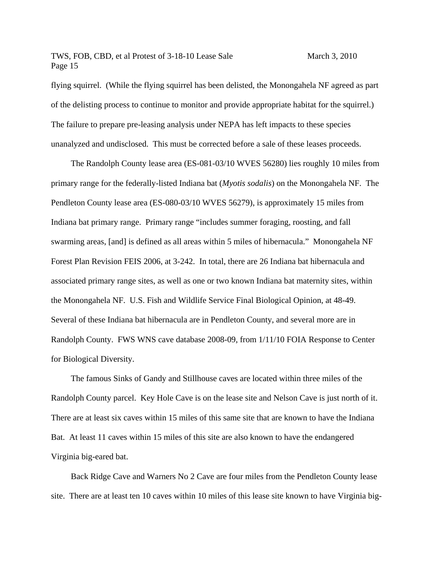flying squirrel. (While the flying squirrel has been delisted, the Monongahela NF agreed as part of the delisting process to continue to monitor and provide appropriate habitat for the squirrel.) The failure to prepare pre-leasing analysis under NEPA has left impacts to these species unanalyzed and undisclosed. This must be corrected before a sale of these leases proceeds.

 The Randolph County lease area (ES-081-03/10 WVES 56280) lies roughly 10 miles from primary range for the federally-listed Indiana bat (*Myotis sodalis*) on the Monongahela NF. The Pendleton County lease area (ES-080-03/10 WVES 56279), is approximately 15 miles from Indiana bat primary range. Primary range "includes summer foraging, roosting, and fall swarming areas, [and] is defined as all areas within 5 miles of hibernacula." Monongahela NF Forest Plan Revision FEIS 2006, at 3-242. In total, there are 26 Indiana bat hibernacula and associated primary range sites, as well as one or two known Indiana bat maternity sites, within the Monongahela NF. U.S. Fish and Wildlife Service Final Biological Opinion, at 48-49. Several of these Indiana bat hibernacula are in Pendleton County, and several more are in Randolph County. FWS WNS cave database 2008-09, from 1/11/10 FOIA Response to Center for Biological Diversity.

 The famous Sinks of Gandy and Stillhouse caves are located within three miles of the Randolph County parcel. Key Hole Cave is on the lease site and Nelson Cave is just north of it. There are at least six caves within 15 miles of this same site that are known to have the Indiana Bat. At least 11 caves within 15 miles of this site are also known to have the endangered Virginia big-eared bat.

 Back Ridge Cave and Warners No 2 Cave are four miles from the Pendleton County lease site. There are at least ten 10 caves within 10 miles of this lease site known to have Virginia big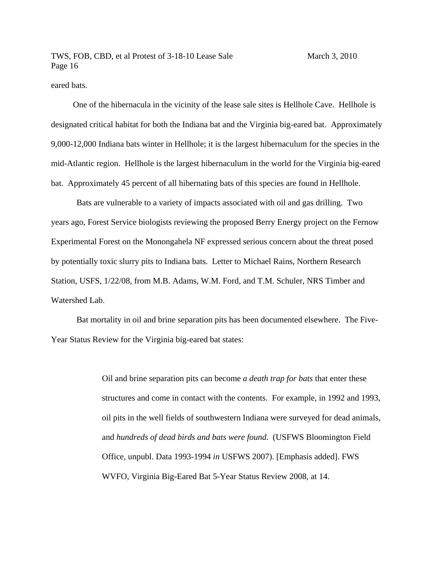eared bats.

 One of the hibernacula in the vicinity of the lease sale sites is Hellhole Cave. Hellhole is designated critical habitat for both the Indiana bat and the Virginia big-eared bat. Approximately 9,000-12,000 Indiana bats winter in Hellhole; it is the largest hibernaculum for the species in the mid-Atlantic region. Hellhole is the largest hibernaculum in the world for the Virginia big-eared bat. Approximately 45 percent of all hibernating bats of this species are found in Hellhole.

Bats are vulnerable to a variety of impacts associated with oil and gas drilling. Two years ago, Forest Service biologists reviewing the proposed Berry Energy project on the Fernow Experimental Forest on the Monongahela NF expressed serious concern about the threat posed by potentially toxic slurry pits to Indiana bats. Letter to Michael Rains, Northern Research Station, USFS, 1/22/08, from M.B. Adams, W.M. Ford, and T.M. Schuler, NRS Timber and Watershed Lab.

 Bat mortality in oil and brine separation pits has been documented elsewhere. The Five-Year Status Review for the Virginia big-eared bat states:

> Oil and brine separation pits can become *a death trap for bats* that enter these structures and come in contact with the contents. For example, in 1992 and 1993, oil pits in the well fields of southwestern Indiana were surveyed for dead animals, and *hundreds of dead birds and bats were found*. (USFWS Bloomington Field Office, unpubl. Data 1993-1994 *in* USFWS 2007). [Emphasis added]. FWS WVFO, Virginia Big-Eared Bat 5-Year Status Review 2008, at 14.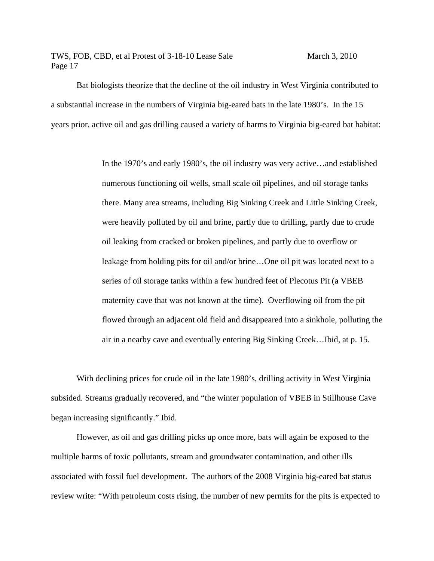Bat biologists theorize that the decline of the oil industry in West Virginia contributed to a substantial increase in the numbers of Virginia big-eared bats in the late 1980's. In the 15 years prior, active oil and gas drilling caused a variety of harms to Virginia big-eared bat habitat:

> In the 1970's and early 1980's, the oil industry was very active…and established numerous functioning oil wells, small scale oil pipelines, and oil storage tanks there. Many area streams, including Big Sinking Creek and Little Sinking Creek, were heavily polluted by oil and brine, partly due to drilling, partly due to crude oil leaking from cracked or broken pipelines, and partly due to overflow or leakage from holding pits for oil and/or brine…One oil pit was located next to a series of oil storage tanks within a few hundred feet of Plecotus Pit (a VBEB maternity cave that was not known at the time). Overflowing oil from the pit flowed through an adjacent old field and disappeared into a sinkhole, polluting the air in a nearby cave and eventually entering Big Sinking Creek…Ibid, at p. 15.

 With declining prices for crude oil in the late 1980's, drilling activity in West Virginia subsided. Streams gradually recovered, and "the winter population of VBEB in Stillhouse Cave began increasing significantly." Ibid.

 However, as oil and gas drilling picks up once more, bats will again be exposed to the multiple harms of toxic pollutants, stream and groundwater contamination, and other ills associated with fossil fuel development. The authors of the 2008 Virginia big-eared bat status review write: "With petroleum costs rising, the number of new permits for the pits is expected to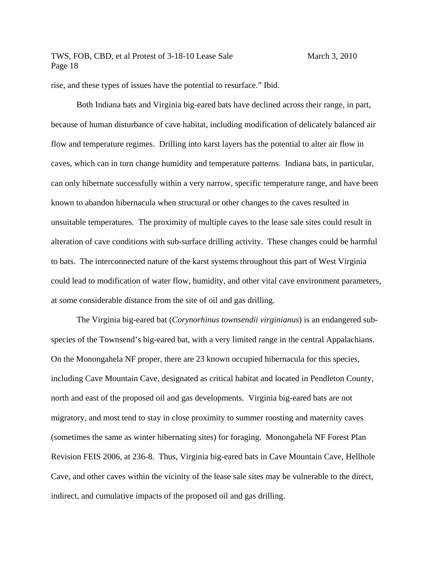rise, and these types of issues have the potential to resurface." Ibid.

 Both Indiana bats and Virginia big-eared bats have declined across their range, in part, because of human disturbance of cave habitat, including modification of delicately balanced air flow and temperature regimes. Drilling into karst layers has the potential to alter air flow in caves, which can in turn change humidity and temperature patterns. Indiana bats, in particular, can only hibernate successfully within a very narrow, specific temperature range, and have been known to abandon hibernacula when structural or other changes to the caves resulted in unsuitable temperatures. The proximity of multiple caves to the lease sale sites could result in alteration of cave conditions with sub-surface drilling activity. These changes could be harmful to bats. The interconnected nature of the karst systems throughout this part of West Virginia could lead to modification of water flow, humidity, and other vital cave environment parameters, at some considerable distance from the site of oil and gas drilling.

 The Virginia big-eared bat (*Corynorhinus townsendii virginianus*) is an endangered subspecies of the Townsend's big-eared bat, with a very limited range in the central Appalachians. On the Monongahela NF proper, there are 23 known occupied hibernacula for this species, including Cave Mountain Cave, designated as critical habitat and located in Pendleton County, north and east of the proposed oil and gas developments. Virginia big-eared bats are not migratory, and most tend to stay in close proximity to summer roosting and maternity caves (sometimes the same as winter hibernating sites) for foraging. Monongahela NF Forest Plan Revision FEIS 2006, at 236-8. Thus, Virginia big-eared bats in Cave Mountain Cave, Hellhole Cave, and other caves within the vicinity of the lease sale sites may be vulnerable to the direct, indirect, and cumulative impacts of the proposed oil and gas drilling.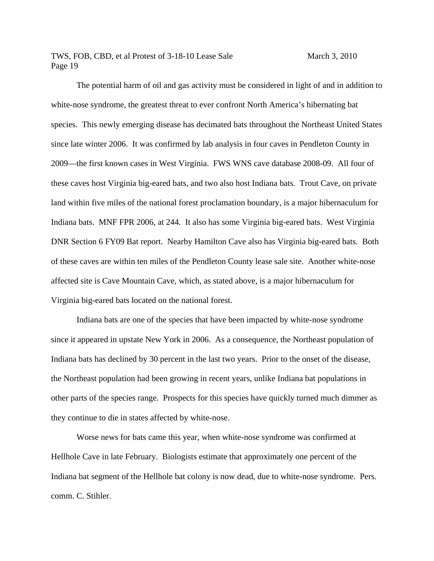The potential harm of oil and gas activity must be considered in light of and in addition to white-nose syndrome, the greatest threat to ever confront North America's hibernating bat species. This newly emerging disease has decimated bats throughout the Northeast United States since late winter 2006. It was confirmed by lab analysis in four caves in Pendleton County in 2009—the first known cases in West Virginia. FWS WNS cave database 2008-09. All four of these caves host Virginia big-eared bats, and two also host Indiana bats. Trout Cave, on private land within five miles of the national forest proclamation boundary, is a major hibernaculum for Indiana bats. MNF FPR 2006, at 244. It also has some Virginia big-eared bats. West Virginia DNR Section 6 FY09 Bat report. Nearby Hamilton Cave also has Virginia big-eared bats. Both of these caves are within ten miles of the Pendleton County lease sale site. Another white-nose affected site is Cave Mountain Cave, which, as stated above, is a major hibernaculum for Virginia big-eared bats located on the national forest.

 Indiana bats are one of the species that have been impacted by white-nose syndrome since it appeared in upstate New York in 2006. As a consequence, the Northeast population of Indiana bats has declined by 30 percent in the last two years. Prior to the onset of the disease, the Northeast population had been growing in recent years, unlike Indiana bat populations in other parts of the species range. Prospects for this species have quickly turned much dimmer as they continue to die in states affected by white-nose.

 Worse news for bats came this year, when white-nose syndrome was confirmed at Hellhole Cave in late February. Biologists estimate that approximately one percent of the Indiana bat segment of the Hellhole bat colony is now dead, due to white-nose syndrome. Pers. comm. C. Stihler.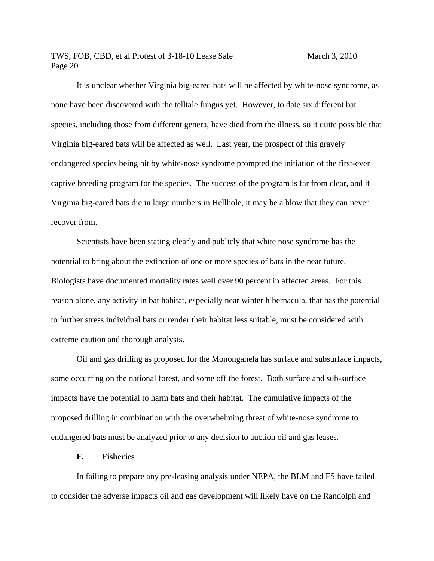It is unclear whether Virginia big-eared bats will be affected by white-nose syndrome, as none have been discovered with the telltale fungus yet. However, to date six different bat species, including those from different genera, have died from the illness, so it quite possible that Virginia big-eared bats will be affected as well. Last year, the prospect of this gravely endangered species being hit by white-nose syndrome prompted the initiation of the first-ever captive breeding program for the species. The success of the program is far from clear, and if Virginia big-eared bats die in large numbers in Hellhole, it may be a blow that they can never recover from.

 Scientists have been stating clearly and publicly that white nose syndrome has the potential to bring about the extinction of one or more species of bats in the near future. Biologists have documented mortality rates well over 90 percent in affected areas. For this reason alone, any activity in bat habitat, especially near winter hibernacula, that has the potential to further stress individual bats or render their habitat less suitable, must be considered with extreme caution and thorough analysis.

 Oil and gas drilling as proposed for the Monongahela has surface and subsurface impacts, some occurring on the national forest, and some off the forest. Both surface and sub-surface impacts have the potential to harm bats and their habitat. The cumulative impacts of the proposed drilling in combination with the overwhelming threat of white-nose syndrome to endangered bats must be analyzed prior to any decision to auction oil and gas leases.

#### **F. Fisheries**

In failing to prepare any pre-leasing analysis under NEPA, the BLM and FS have failed to consider the adverse impacts oil and gas development will likely have on the Randolph and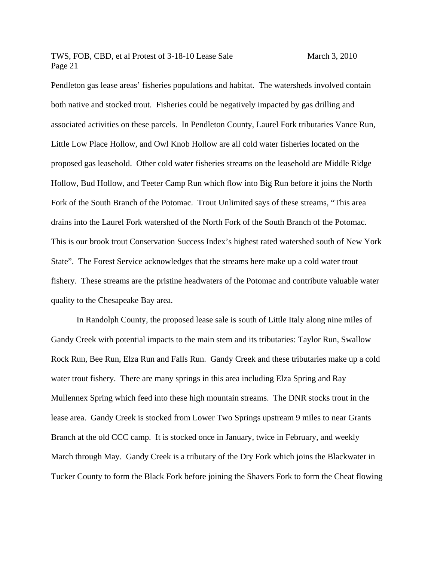Pendleton gas lease areas' fisheries populations and habitat. The watersheds involved contain both native and stocked trout. Fisheries could be negatively impacted by gas drilling and associated activities on these parcels. In Pendleton County, Laurel Fork tributaries Vance Run, Little Low Place Hollow, and Owl Knob Hollow are all cold water fisheries located on the proposed gas leasehold. Other cold water fisheries streams on the leasehold are Middle Ridge Hollow, Bud Hollow, and Teeter Camp Run which flow into Big Run before it joins the North Fork of the South Branch of the Potomac. Trout Unlimited says of these streams, "This area drains into the Laurel Fork watershed of the North Fork of the South Branch of the Potomac. This is our brook trout Conservation Success Index's highest rated watershed south of New York State". The Forest Service acknowledges that the streams here make up a cold water trout fishery. These streams are the pristine headwaters of the Potomac and contribute valuable water quality to the Chesapeake Bay area.

 In Randolph County, the proposed lease sale is south of Little Italy along nine miles of Gandy Creek with potential impacts to the main stem and its tributaries: Taylor Run, Swallow Rock Run, Bee Run, Elza Run and Falls Run. Gandy Creek and these tributaries make up a cold water trout fishery. There are many springs in this area including Elza Spring and Ray Mullennex Spring which feed into these high mountain streams. The DNR stocks trout in the lease area. Gandy Creek is stocked from Lower Two Springs upstream 9 miles to near Grants Branch at the old CCC camp. It is stocked once in January, twice in February, and weekly March through May. Gandy Creek is a tributary of the Dry Fork which joins the Blackwater in Tucker County to form the Black Fork before joining the Shavers Fork to form the Cheat flowing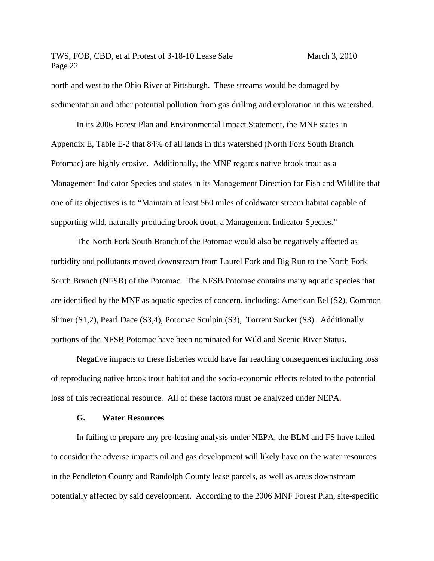north and west to the Ohio River at Pittsburgh. These streams would be damaged by sedimentation and other potential pollution from gas drilling and exploration in this watershed.

In its 2006 Forest Plan and Environmental Impact Statement, the MNF states in Appendix E, Table E-2 that 84% of all lands in this watershed (North Fork South Branch Potomac) are highly erosive. Additionally, the MNF regards native brook trout as a Management Indicator Species and states in its Management Direction for Fish and Wildlife that one of its objectives is to "Maintain at least 560 miles of coldwater stream habitat capable of supporting wild, naturally producing brook trout, a Management Indicator Species."

 The North Fork South Branch of the Potomac would also be negatively affected as turbidity and pollutants moved downstream from Laurel Fork and Big Run to the North Fork South Branch (NFSB) of the Potomac. The NFSB Potomac contains many aquatic species that are identified by the MNF as aquatic species of concern, including: American Eel (S2), Common Shiner (S1,2), Pearl Dace (S3,4), Potomac Sculpin (S3), Torrent Sucker (S3). Additionally portions of the NFSB Potomac have been nominated for Wild and Scenic River Status.

Negative impacts to these fisheries would have far reaching consequences including loss of reproducing native brook trout habitat and the socio-economic effects related to the potential loss of this recreational resource. All of these factors must be analyzed under NEPA.

#### **G. Water Resources**

In failing to prepare any pre-leasing analysis under NEPA, the BLM and FS have failed to consider the adverse impacts oil and gas development will likely have on the water resources in the Pendleton County and Randolph County lease parcels, as well as areas downstream potentially affected by said development. According to the 2006 MNF Forest Plan, site-specific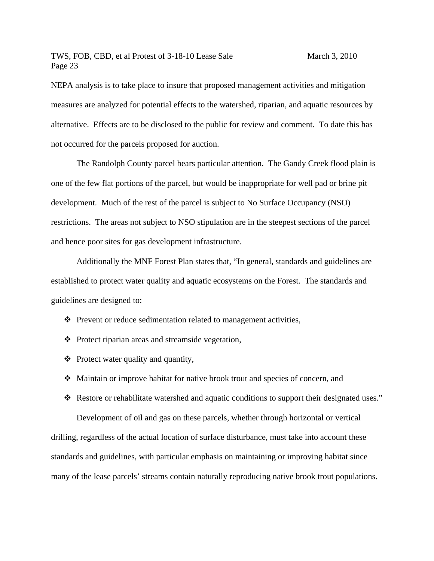NEPA analysis is to take place to insure that proposed management activities and mitigation measures are analyzed for potential effects to the watershed, riparian, and aquatic resources by alternative. Effects are to be disclosed to the public for review and comment. To date this has not occurred for the parcels proposed for auction.

The Randolph County parcel bears particular attention. The Gandy Creek flood plain is one of the few flat portions of the parcel, but would be inappropriate for well pad or brine pit development. Much of the rest of the parcel is subject to No Surface Occupancy (NSO) restrictions. The areas not subject to NSO stipulation are in the steepest sections of the parcel and hence poor sites for gas development infrastructure.

Additionally the MNF Forest Plan states that, "In general, standards and guidelines are established to protect water quality and aquatic ecosystems on the Forest. The standards and guidelines are designed to:

- $\triangle$  Prevent or reduce sedimentation related to management activities,
- $\triangle$  Protect riparian areas and streamside vegetation,
- $\triangleleft$  Protect water quality and quantity,
- Maintain or improve habitat for native brook trout and species of concern, and

Development of oil and gas on these parcels, whether through horizontal or vertical drilling, regardless of the actual location of surface disturbance, must take into account these standards and guidelines, with particular emphasis on maintaining or improving habitat since many of the lease parcels' streams contain naturally reproducing native brook trout populations.

\* Restore or rehabilitate watershed and aquatic conditions to support their designated uses."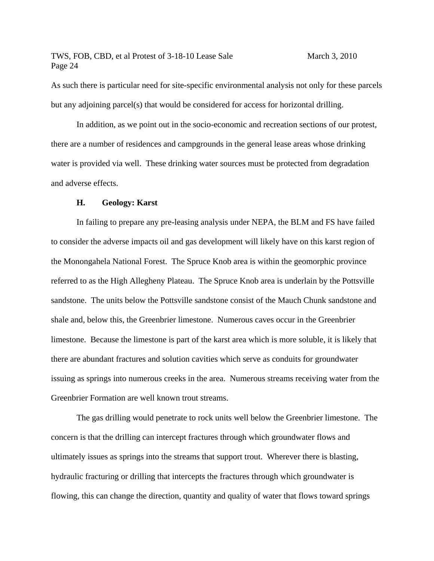As such there is particular need for site-specific environmental analysis not only for these parcels but any adjoining parcel(s) that would be considered for access for horizontal drilling.

In addition, as we point out in the socio-economic and recreation sections of our protest, there are a number of residences and campgrounds in the general lease areas whose drinking water is provided via well. These drinking water sources must be protected from degradation and adverse effects.

#### **H. Geology: Karst**

In failing to prepare any pre-leasing analysis under NEPA, the BLM and FS have failed to consider the adverse impacts oil and gas development will likely have on this karst region of the Monongahela National Forest. The Spruce Knob area is within the geomorphic province referred to as the High Allegheny Plateau. The Spruce Knob area is underlain by the Pottsville sandstone. The units below the Pottsville sandstone consist of the Mauch Chunk sandstone and shale and, below this, the Greenbrier limestone. Numerous caves occur in the Greenbrier limestone. Because the limestone is part of the karst area which is more soluble, it is likely that there are abundant fractures and solution cavities which serve as conduits for groundwater issuing as springs into numerous creeks in the area. Numerous streams receiving water from the Greenbrier Formation are well known trout streams.

The gas drilling would penetrate to rock units well below the Greenbrier limestone. The concern is that the drilling can intercept fractures through which groundwater flows and ultimately issues as springs into the streams that support trout. Wherever there is blasting, hydraulic fracturing or drilling that intercepts the fractures through which groundwater is flowing, this can change the direction, quantity and quality of water that flows toward springs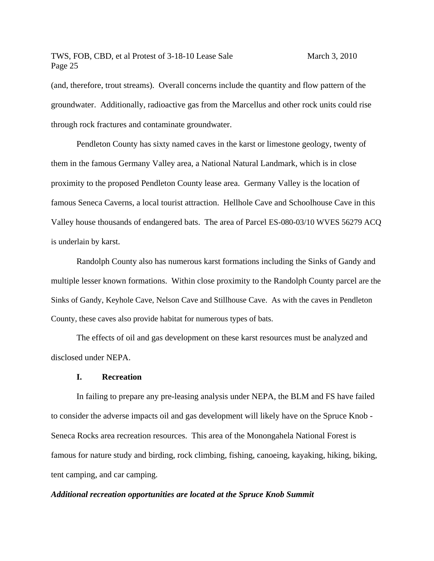(and, therefore, trout streams). Overall concerns include the quantity and flow pattern of the groundwater. Additionally, radioactive gas from the Marcellus and other rock units could rise through rock fractures and contaminate groundwater.

Pendleton County has sixty named caves in the karst or limestone geology, twenty of them in the famous Germany Valley area, a National Natural Landmark, which is in close proximity to the proposed Pendleton County lease area. Germany Valley is the location of famous Seneca Caverns, a local tourist attraction. Hellhole Cave and Schoolhouse Cave in this Valley house thousands of endangered bats. The area of Parcel ES-080-03/10 WVES 56279 ACQ is underlain by karst.

Randolph County also has numerous karst formations including the Sinks of Gandy and multiple lesser known formations. Within close proximity to the Randolph County parcel are the Sinks of Gandy, Keyhole Cave, Nelson Cave and Stillhouse Cave. As with the caves in Pendleton County, these caves also provide habitat for numerous types of bats.

The effects of oil and gas development on these karst resources must be analyzed and disclosed under NEPA.

#### **I. Recreation**

In failing to prepare any pre-leasing analysis under NEPA, the BLM and FS have failed to consider the adverse impacts oil and gas development will likely have on the Spruce Knob - Seneca Rocks area recreation resources. This area of the Monongahela National Forest is famous for nature study and birding, rock climbing, fishing, canoeing, kayaking, hiking, biking, tent camping, and car camping.

#### *Additional recreation opportunities are located at the Spruce Knob Summit*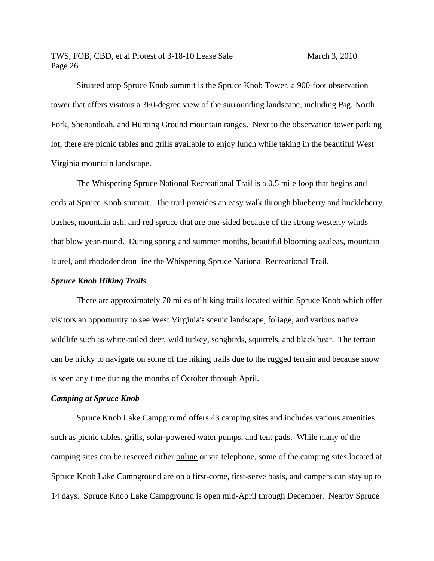Situated atop Spruce Knob summit is the Spruce Knob Tower, a 900-foot observation tower that offers visitors a 360-degree view of the surrounding landscape, including Big, North Fork, Shenandoah, and Hunting Ground mountain ranges. Next to the observation tower parking lot, there are picnic tables and grills available to enjoy lunch while taking in the beautiful West Virginia mountain landscape.

 The Whispering Spruce National Recreational Trail is a 0.5 mile loop that begins and ends at Spruce Knob summit. The trail provides an easy walk through blueberry and huckleberry bushes, mountain ash, and red spruce that are one-sided because of the strong westerly winds that blow year-round. During spring and summer months, beautiful blooming azaleas, mountain laurel, and rhododendron line the Whispering Spruce National Recreational Trail.

#### *Spruce Knob Hiking Trails*

There are approximately 70 miles of hiking trails located within Spruce Knob which offer visitors an opportunity to see West Virginia's scenic landscape, foliage, and various native wildlife such as white-tailed deer, wild turkey, songbirds, squirrels, and black bear. The terrain can be tricky to navigate on some of the hiking trails due to the rugged terrain and because snow is seen any time during the months of October through April.

#### *Camping at Spruce Knob*

Spruce Knob Lake Campground offers 43 camping sites and includes various amenities such as picnic tables, grills, solar-powered water pumps, and tent pads. While many of the camping sites can be reserved either online or via telephone, some of the camping sites located at Spruce Knob Lake Campground are on a first-come, first-serve basis, and campers can stay up to 14 days. Spruce Knob Lake Campground is open mid-April through December. Nearby Spruce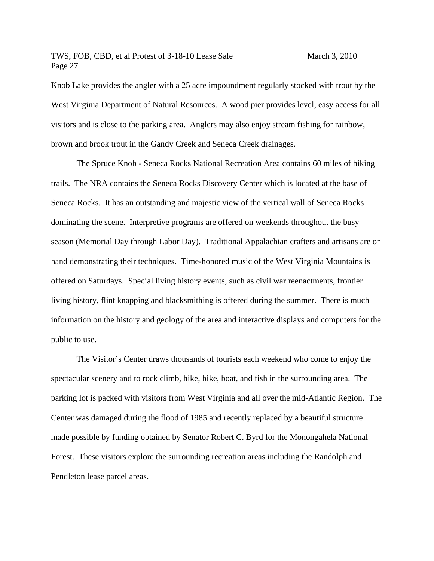Knob Lake provides the angler with a 25 acre impoundment regularly stocked with trout by the West Virginia Department of Natural Resources. A wood pier provides level, easy access for all visitors and is close to the parking area. Anglers may also enjoy stream fishing for rainbow, brown and brook trout in the Gandy Creek and Seneca Creek drainages.

 The Spruce Knob - Seneca Rocks National Recreation Area contains 60 miles of hiking trails. The NRA contains the Seneca Rocks Discovery Center which is located at the base of Seneca Rocks. It has an outstanding and majestic view of the vertical wall of Seneca Rocks dominating the scene. Interpretive programs are offered on weekends throughout the busy season (Memorial Day through Labor Day). Traditional Appalachian crafters and artisans are on hand demonstrating their techniques. Time-honored music of the West Virginia Mountains is offered on Saturdays. Special living history events, such as civil war reenactments, frontier living history, flint knapping and blacksmithing is offered during the summer. There is much information on the history and geology of the area and interactive displays and computers for the public to use.

 The Visitor's Center draws thousands of tourists each weekend who come to enjoy the spectacular scenery and to rock climb, hike, bike, boat, and fish in the surrounding area. The parking lot is packed with visitors from West Virginia and all over the mid-Atlantic Region. The Center was damaged during the flood of 1985 and recently replaced by a beautiful structure made possible by funding obtained by Senator Robert C. Byrd for the Monongahela National Forest. These visitors explore the surrounding recreation areas including the Randolph and Pendleton lease parcel areas.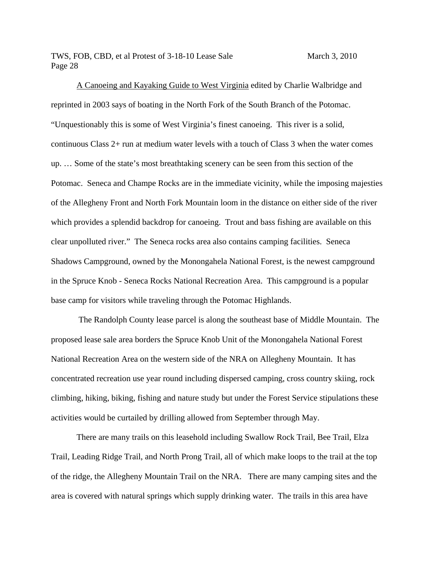A Canoeing and Kayaking Guide to West Virginia edited by Charlie Walbridge and reprinted in 2003 says of boating in the North Fork of the South Branch of the Potomac. "Unquestionably this is some of West Virginia's finest canoeing. This river is a solid, continuous Class 2+ run at medium water levels with a touch of Class 3 when the water comes up. … Some of the state's most breathtaking scenery can be seen from this section of the Potomac. Seneca and Champe Rocks are in the immediate vicinity, while the imposing majesties of the Allegheny Front and North Fork Mountain loom in the distance on either side of the river which provides a splendid backdrop for canoeing. Trout and bass fishing are available on this clear unpolluted river." The Seneca rocks area also contains camping facilities. Seneca Shadows Campground, owned by the Monongahela National Forest, is the newest campground in the Spruce Knob - Seneca Rocks National Recreation Area. This campground is a popular base camp for visitors while traveling through the Potomac Highlands.

 The Randolph County lease parcel is along the southeast base of Middle Mountain. The proposed lease sale area borders the Spruce Knob Unit of the Monongahela National Forest National Recreation Area on the western side of the NRA on Allegheny Mountain. It has concentrated recreation use year round including dispersed camping, cross country skiing, rock climbing, hiking, biking, fishing and nature study but under the Forest Service stipulations these activities would be curtailed by drilling allowed from September through May.

There are many trails on this leasehold including Swallow Rock Trail, Bee Trail, Elza Trail, Leading Ridge Trail, and North Prong Trail, all of which make loops to the trail at the top of the ridge, the Allegheny Mountain Trail on the NRA. There are many camping sites and the area is covered with natural springs which supply drinking water. The trails in this area have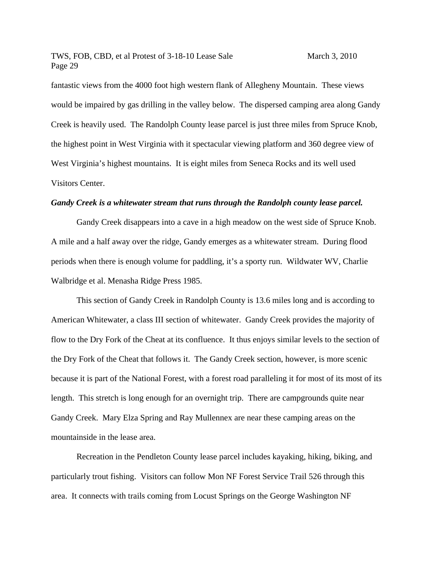fantastic views from the 4000 foot high western flank of Allegheny Mountain. These views would be impaired by gas drilling in the valley below. The dispersed camping area along Gandy Creek is heavily used. The Randolph County lease parcel is just three miles from Spruce Knob, the highest point in West Virginia with it spectacular viewing platform and 360 degree view of West Virginia's highest mountains. It is eight miles from Seneca Rocks and its well used Visitors Center.

#### *Gandy Creek is a whitewater stream that runs through the Randolph county lease parcel.*

Gandy Creek disappears into a cave in a high meadow on the west side of Spruce Knob. A mile and a half away over the ridge, Gandy emerges as a whitewater stream. During flood periods when there is enough volume for paddling, it's a sporty run. Wildwater WV, Charlie Walbridge et al. Menasha Ridge Press 1985.

This section of Gandy Creek in Randolph County is 13.6 miles long and is according to American Whitewater, a class III section of whitewater. Gandy Creek provides the majority of flow to the Dry Fork of the Cheat at its confluence. It thus enjoys similar levels to the section of the Dry Fork of the Cheat that follows it. The Gandy Creek section, however, is more scenic because it is part of the National Forest, with a forest road paralleling it for most of its most of its length. This stretch is long enough for an overnight trip. There are campgrounds quite near Gandy Creek. Mary Elza Spring and Ray Mullennex are near these camping areas on the mountainside in the lease area.

Recreation in the Pendleton County lease parcel includes kayaking, hiking, biking, and particularly trout fishing. Visitors can follow Mon NF Forest Service Trail 526 through this area. It connects with trails coming from Locust Springs on the George Washington NF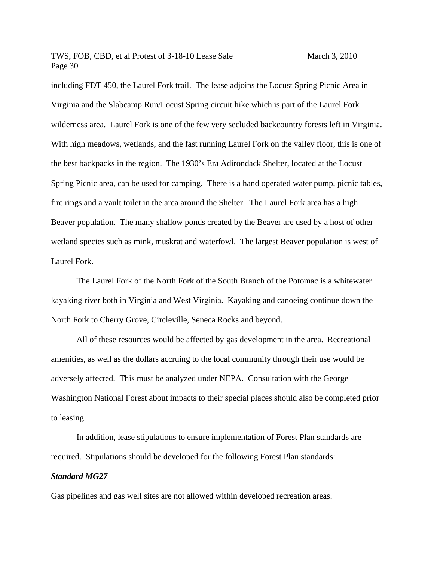including FDT 450, the Laurel Fork trail. The lease adjoins the Locust Spring Picnic Area in Virginia and the Slabcamp Run/Locust Spring circuit hike which is part of the Laurel Fork wilderness area. Laurel Fork is one of the few very secluded backcountry forests left in Virginia. With high meadows, wetlands, and the fast running Laurel Fork on the valley floor, this is one of the best backpacks in the region. The 1930's Era Adirondack Shelter, located at the Locust Spring Picnic area, can be used for camping. There is a hand operated water pump, picnic tables, fire rings and a vault toilet in the area around the Shelter. The Laurel Fork area has a high Beaver population. The many shallow ponds created by the Beaver are used by a host of other wetland species such as mink, muskrat and waterfowl. The largest Beaver population is west of Laurel Fork.

The Laurel Fork of the North Fork of the South Branch of the Potomac is a whitewater kayaking river both in Virginia and West Virginia. Kayaking and canoeing continue down the North Fork to Cherry Grove, Circleville, Seneca Rocks and beyond.

 All of these resources would be affected by gas development in the area. Recreational amenities, as well as the dollars accruing to the local community through their use would be adversely affected. This must be analyzed under NEPA. Consultation with the George Washington National Forest about impacts to their special places should also be completed prior to leasing.

In addition, lease stipulations to ensure implementation of Forest Plan standards are required. Stipulations should be developed for the following Forest Plan standards:

#### *Standard MG27*

Gas pipelines and gas well sites are not allowed within developed recreation areas.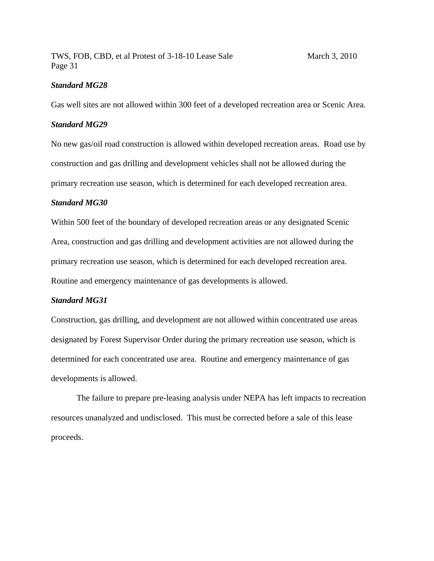#### *Standard MG28*

Gas well sites are not allowed within 300 feet of a developed recreation area or Scenic Area.

#### *Standard MG29*

No new gas/oil road construction is allowed within developed recreation areas. Road use by construction and gas drilling and development vehicles shall not be allowed during the primary recreation use season, which is determined for each developed recreation area.

#### *Standard MG30*

Within 500 feet of the boundary of developed recreation areas or any designated Scenic Area, construction and gas drilling and development activities are not allowed during the primary recreation use season, which is determined for each developed recreation area. Routine and emergency maintenance of gas developments is allowed.

#### *Standard MG31*

Construction, gas drilling, and development are not allowed within concentrated use areas designated by Forest Supervisor Order during the primary recreation use season, which is determined for each concentrated use area. Routine and emergency maintenance of gas developments is allowed.

The failure to prepare pre-leasing analysis under NEPA has left impacts to recreation resources unanalyzed and undisclosed. This must be corrected before a sale of this lease proceeds.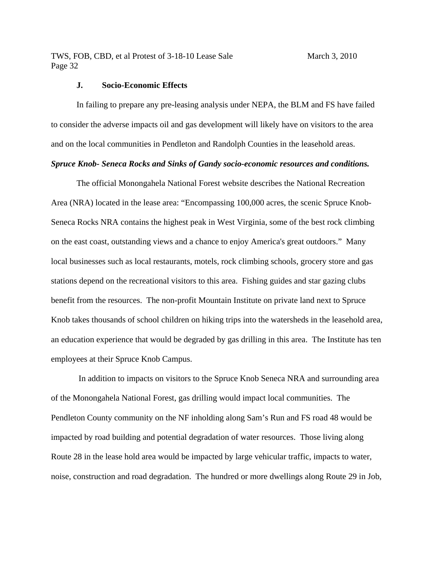#### **J. Socio-Economic Effects**

In failing to prepare any pre-leasing analysis under NEPA, the BLM and FS have failed to consider the adverse impacts oil and gas development will likely have on visitors to the area and on the local communities in Pendleton and Randolph Counties in the leasehold areas.

# *Spruce Knob- Seneca Rocks and Sinks of Gandy socio-economic resources and conditions.*

The official Monongahela National Forest website describes the National Recreation Area (NRA) located in the lease area: "Encompassing 100,000 acres, the scenic Spruce Knob-Seneca Rocks NRA contains the highest peak in West Virginia, some of the best rock climbing on the east coast, outstanding views and a chance to enjoy America's great outdoors." Many local businesses such as local restaurants, motels, rock climbing schools, grocery store and gas stations depend on the recreational visitors to this area. Fishing guides and star gazing clubs benefit from the resources. The non-profit Mountain Institute on private land next to Spruce Knob takes thousands of school children on hiking trips into the watersheds in the leasehold area, an education experience that would be degraded by gas drilling in this area. The Institute has ten employees at their Spruce Knob Campus.

 In addition to impacts on visitors to the Spruce Knob Seneca NRA and surrounding area of the Monongahela National Forest, gas drilling would impact local communities. The Pendleton County community on the NF inholding along Sam's Run and FS road 48 would be impacted by road building and potential degradation of water resources. Those living along Route 28 in the lease hold area would be impacted by large vehicular traffic, impacts to water, noise, construction and road degradation. The hundred or more dwellings along Route 29 in Job,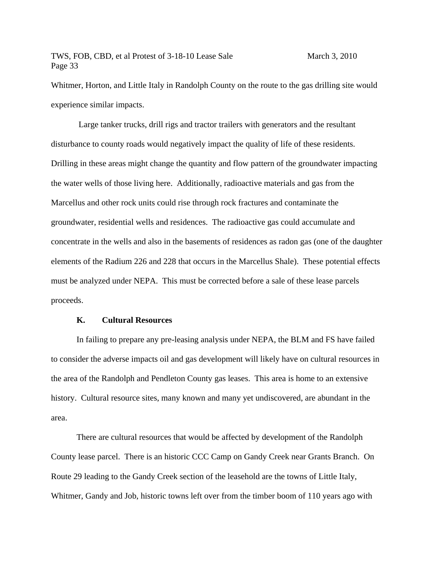Whitmer, Horton, and Little Italy in Randolph County on the route to the gas drilling site would experience similar impacts.

 Large tanker trucks, drill rigs and tractor trailers with generators and the resultant disturbance to county roads would negatively impact the quality of life of these residents. Drilling in these areas might change the quantity and flow pattern of the groundwater impacting the water wells of those living here. Additionally, radioactive materials and gas from the Marcellus and other rock units could rise through rock fractures and contaminate the groundwater, residential wells and residences. The radioactive gas could accumulate and concentrate in the wells and also in the basements of residences as radon gas (one of the daughter elements of the Radium 226 and 228 that occurs in the Marcellus Shale). These potential effects must be analyzed under NEPA. This must be corrected before a sale of these lease parcels proceeds.

#### **K. Cultural Resources**

In failing to prepare any pre-leasing analysis under NEPA, the BLM and FS have failed to consider the adverse impacts oil and gas development will likely have on cultural resources in the area of the Randolph and Pendleton County gas leases. This area is home to an extensive history. Cultural resource sites, many known and many yet undiscovered, are abundant in the area.

 There are cultural resources that would be affected by development of the Randolph County lease parcel. There is an historic CCC Camp on Gandy Creek near Grants Branch. On Route 29 leading to the Gandy Creek section of the leasehold are the towns of Little Italy, Whitmer, Gandy and Job, historic towns left over from the timber boom of 110 years ago with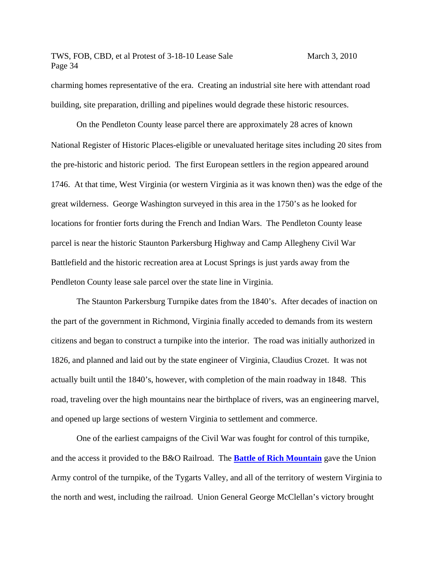charming homes representative of the era. Creating an industrial site here with attendant road building, site preparation, drilling and pipelines would degrade these historic resources.

 On the Pendleton County lease parcel there are approximately 28 acres of known National Register of Historic Places-eligible or unevaluated heritage sites including 20 sites from the pre-historic and historic period. The first European settlers in the region appeared around 1746. At that time, West Virginia (or western Virginia as it was known then) was the edge of the great wilderness. George Washington surveyed in this area in the 1750's as he looked for locations for frontier forts during the French and Indian Wars. The Pendleton County lease parcel is near the historic Staunton Parkersburg Highway and Camp Allegheny Civil War Battlefield and the historic recreation area at Locust Springs is just yards away from the Pendleton County lease sale parcel over the state line in Virginia.

 The Staunton Parkersburg Turnpike dates from the 1840's. After decades of inaction on the part of the government in Richmond, Virginia finally acceded to demands from its western citizens and began to construct a turnpike into the interior. The road was initially authorized in 1826, and planned and laid out by the state engineer of Virginia, Claudius Crozet. It was not actually built until the 1840's, however, with completion of the main roadway in 1848. This road, traveling over the high mountains near the birthplace of rivers, was an engineering marvel, and opened up large sections of western Virginia to settlement and commerce.

One of the earliest campaigns of the Civil War was fought for control of this turnpike, and the access it provided to the B&O Railroad. The **Battle of Rich Mountain** gave the Union Army control of the turnpike, of the Tygarts Valley, and all of the territory of western Virginia to the north and west, including the railroad. Union General George McClellan's victory brought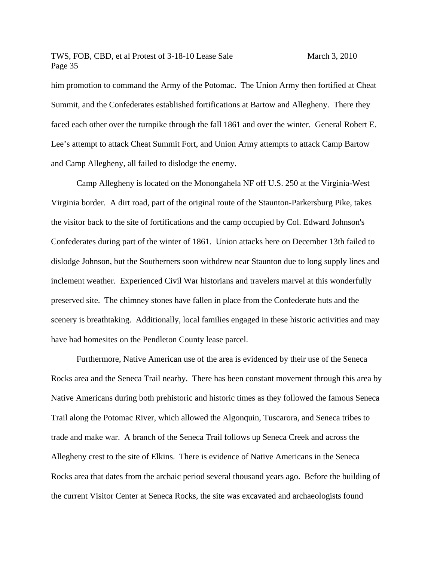him promotion to command the Army of the Potomac. The Union Army then fortified at Cheat Summit, and the Confederates established fortifications at Bartow and Allegheny. There they faced each other over the turnpike through the fall 1861 and over the winter. General Robert E. Lee's attempt to attack Cheat Summit Fort, and Union Army attempts to attack Camp Bartow and Camp Allegheny, all failed to dislodge the enemy.

Camp Allegheny is located on the Monongahela NF off U.S. 250 at the Virginia-West Virginia border. A dirt road, part of the original route of the Staunton-Parkersburg Pike, takes the visitor back to the site of fortifications and the camp occupied by Col. Edward Johnson's Confederates during part of the winter of 1861. Union attacks here on December 13th failed to dislodge Johnson, but the Southerners soon withdrew near Staunton due to long supply lines and inclement weather. Experienced Civil War historians and travelers marvel at this wonderfully preserved site. The chimney stones have fallen in place from the Confederate huts and the scenery is breathtaking. Additionally, local families engaged in these historic activities and may have had homesites on the Pendleton County lease parcel.

 Furthermore, Native American use of the area is evidenced by their use of the Seneca Rocks area and the Seneca Trail nearby. There has been constant movement through this area by Native Americans during both prehistoric and historic times as they followed the famous Seneca Trail along the Potomac River, which allowed the Algonquin, Tuscarora, and Seneca tribes to trade and make war. A branch of the Seneca Trail follows up Seneca Creek and across the Allegheny crest to the site of Elkins. There is evidence of Native Americans in the Seneca Rocks area that dates from the archaic period several thousand years ago. Before the building of the current Visitor Center at Seneca Rocks, the site was excavated and archaeologists found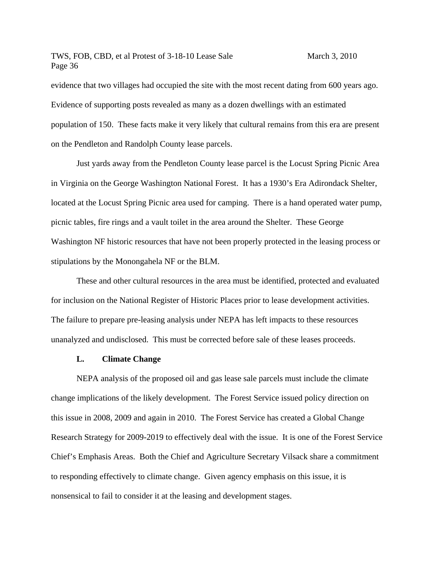evidence that two villages had occupied the site with the most recent dating from 600 years ago. Evidence of supporting posts revealed as many as a dozen dwellings with an estimated population of 150. These facts make it very likely that cultural remains from this era are present on the Pendleton and Randolph County lease parcels.

 Just yards away from the Pendleton County lease parcel is the Locust Spring Picnic Area in Virginia on the George Washington National Forest. It has a 1930's Era Adirondack Shelter, located at the Locust Spring Picnic area used for camping. There is a hand operated water pump, picnic tables, fire rings and a vault toilet in the area around the Shelter. These George Washington NF historic resources that have not been properly protected in the leasing process or stipulations by the Monongahela NF or the BLM.

These and other cultural resources in the area must be identified, protected and evaluated for inclusion on the National Register of Historic Places prior to lease development activities. The failure to prepare pre-leasing analysis under NEPA has left impacts to these resources unanalyzed and undisclosed. This must be corrected before sale of these leases proceeds.

#### **L. Climate Change**

 NEPA analysis of the proposed oil and gas lease sale parcels must include the climate change implications of the likely development. The Forest Service issued policy direction on this issue in 2008, 2009 and again in 2010. The Forest Service has created a Global Change Research Strategy for 2009-2019 to effectively deal with the issue. It is one of the Forest Service Chief's Emphasis Areas. Both the Chief and Agriculture Secretary Vilsack share a commitment to responding effectively to climate change. Given agency emphasis on this issue, it is nonsensical to fail to consider it at the leasing and development stages.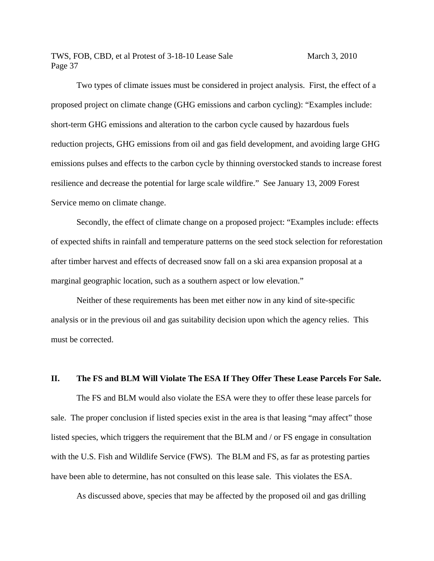Two types of climate issues must be considered in project analysis. First, the effect of a proposed project on climate change (GHG emissions and carbon cycling): "Examples include: short-term GHG emissions and alteration to the carbon cycle caused by hazardous fuels reduction projects, GHG emissions from oil and gas field development, and avoiding large GHG emissions pulses and effects to the carbon cycle by thinning overstocked stands to increase forest resilience and decrease the potential for large scale wildfire." See January 13, 2009 Forest Service memo on climate change.

 Secondly, the effect of climate change on a proposed project: "Examples include: effects of expected shifts in rainfall and temperature patterns on the seed stock selection for reforestation after timber harvest and effects of decreased snow fall on a ski area expansion proposal at a marginal geographic location, such as a southern aspect or low elevation."

 Neither of these requirements has been met either now in any kind of site-specific analysis or in the previous oil and gas suitability decision upon which the agency relies. This must be corrected.

#### **II. The FS and BLM Will Violate The ESA If They Offer These Lease Parcels For Sale.**

The FS and BLM would also violate the ESA were they to offer these lease parcels for sale. The proper conclusion if listed species exist in the area is that leasing "may affect" those listed species, which triggers the requirement that the BLM and / or FS engage in consultation with the U.S. Fish and Wildlife Service (FWS). The BLM and FS, as far as protesting parties have been able to determine, has not consulted on this lease sale. This violates the ESA.

As discussed above, species that may be affected by the proposed oil and gas drilling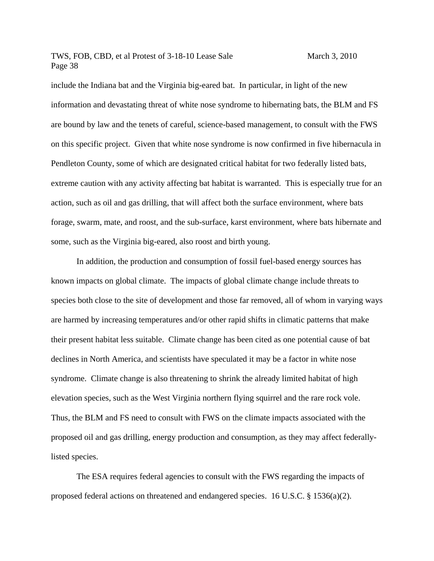include the Indiana bat and the Virginia big-eared bat. In particular, in light of the new information and devastating threat of white nose syndrome to hibernating bats, the BLM and FS are bound by law and the tenets of careful, science-based management, to consult with the FWS on this specific project. Given that white nose syndrome is now confirmed in five hibernacula in Pendleton County, some of which are designated critical habitat for two federally listed bats, extreme caution with any activity affecting bat habitat is warranted. This is especially true for an action, such as oil and gas drilling, that will affect both the surface environment, where bats forage, swarm, mate, and roost, and the sub-surface, karst environment, where bats hibernate and some, such as the Virginia big-eared, also roost and birth young.

In addition, the production and consumption of fossil fuel-based energy sources has known impacts on global climate. The impacts of global climate change include threats to species both close to the site of development and those far removed, all of whom in varying ways are harmed by increasing temperatures and/or other rapid shifts in climatic patterns that make their present habitat less suitable. Climate change has been cited as one potential cause of bat declines in North America, and scientists have speculated it may be a factor in white nose syndrome. Climate change is also threatening to shrink the already limited habitat of high elevation species, such as the West Virginia northern flying squirrel and the rare rock vole. Thus, the BLM and FS need to consult with FWS on the climate impacts associated with the proposed oil and gas drilling, energy production and consumption, as they may affect federallylisted species.

The ESA requires federal agencies to consult with the FWS regarding the impacts of proposed federal actions on threatened and endangered species. 16 U.S.C. § 1536(a)(2).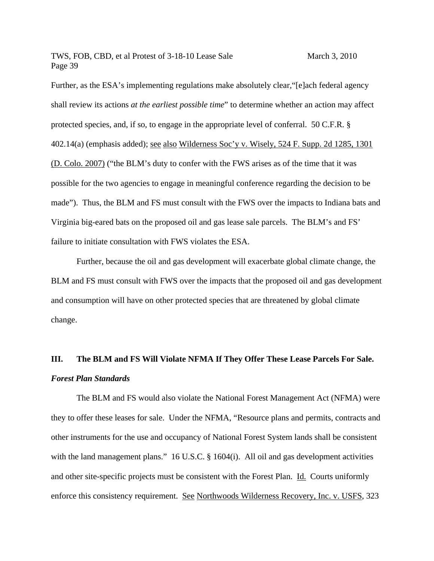Further, as the ESA's implementing regulations make absolutely clear, "[e]ach federal agency shall review its actions *at the earliest possible time*" to determine whether an action may affect protected species, and, if so, to engage in the appropriate level of conferral. 50 C.F.R. § 402.14(a) (emphasis added); see also Wilderness Soc'y v. Wisely, 524 F. Supp. 2d 1285, 1301 (D. Colo. 2007) ("the BLM's duty to confer with the FWS arises as of the time that it was possible for the two agencies to engage in meaningful conference regarding the decision to be made"). Thus, the BLM and FS must consult with the FWS over the impacts to Indiana bats and Virginia big-eared bats on the proposed oil and gas lease sale parcels. The BLM's and FS' failure to initiate consultation with FWS violates the ESA.

Further, because the oil and gas development will exacerbate global climate change, the BLM and FS must consult with FWS over the impacts that the proposed oil and gas development and consumption will have on other protected species that are threatened by global climate change.

# **III. The BLM and FS Will Violate NFMA If They Offer These Lease Parcels For Sale.**  *Forest Plan Standards*

The BLM and FS would also violate the National Forest Management Act (NFMA) were they to offer these leases for sale. Under the NFMA, "Resource plans and permits, contracts and other instruments for the use and occupancy of National Forest System lands shall be consistent with the land management plans." 16 U.S.C. § 1604(i). All oil and gas development activities and other site-specific projects must be consistent with the Forest Plan. Id. Courts uniformly enforce this consistency requirement. See Northwoods Wilderness Recovery, Inc. v. USFS, 323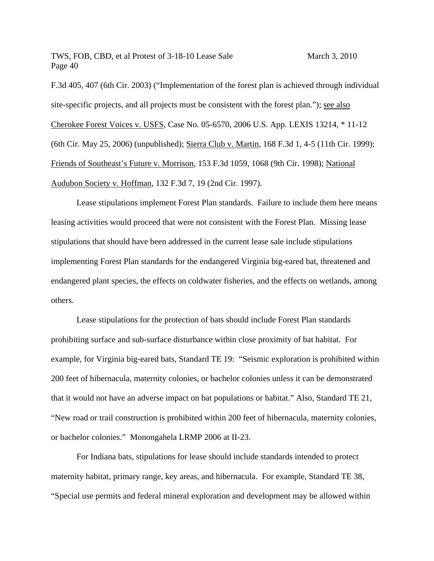F.3d 405, 407 (6th Cir. 2003) ("Implementation of the forest plan is achieved through individual site-specific projects, and all projects must be consistent with the forest plan."); <u>see also</u> Cherokee Forest Voices v. USFS, Case No. 05-6570, 2006 U.S. App. LEXIS 13214, \* 11-12 (6th Cir. May 25, 2006) (unpublished); Sierra Club v. Martin, 168 F.3d 1, 4-5 (11th Cir. 1999); Friends of Southeast's Future v. Morrison, 153 F.3d 1059, 1068 (9th Cir. 1998); National Audubon Society v. Hoffman, 132 F.3d 7, 19 (2nd Cir. 1997).

Lease stipulations implement Forest Plan standards. Failure to include them here means leasing activities would proceed that were not consistent with the Forest Plan. Missing lease stipulations that should have been addressed in the current lease sale include stipulations implementing Forest Plan standards for the endangered Virginia big-eared bat, threatened and endangered plant species, the effects on coldwater fisheries, and the effects on wetlands, among others.

Lease stipulations for the protection of bats should include Forest Plan standards prohibiting surface and sub-surface disturbance within close proximity of bat habitat. For example, for Virginia big-eared bats, Standard TE 19: "Seismic exploration is prohibited within 200 feet of hibernacula, maternity colonies, or bachelor colonies unless it can be demonstrated that it would not have an adverse impact on bat populations or habitat." Also, Standard TE 21, "New road or trail construction is prohibited within 200 feet of hibernacula, maternity colonies, or bachelor colonies." Monongahela LRMP 2006 at II-23.

 For Indiana bats, stipulations for lease should include standards intended to protect maternity habitat, primary range, key areas, and hibernacula. For example, Standard TE 38, "Special use permits and federal mineral exploration and development may be allowed within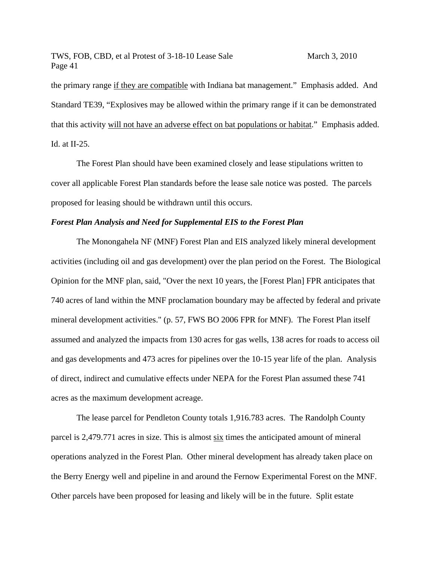the primary range if they are compatible with Indiana bat management." Emphasis added. And Standard TE39, "Explosives may be allowed within the primary range if it can be demonstrated that this activity will not have an adverse effect on bat populations or habitat." Emphasis added. Id. at II-25.

The Forest Plan should have been examined closely and lease stipulations written to cover all applicable Forest Plan standards before the lease sale notice was posted. The parcels proposed for leasing should be withdrawn until this occurs.

#### *Forest Plan Analysis and Need for Supplemental EIS to the Forest Plan*

 The Monongahela NF (MNF) Forest Plan and EIS analyzed likely mineral development activities (including oil and gas development) over the plan period on the Forest. The Biological Opinion for the MNF plan, said, "Over the next 10 years, the [Forest Plan] FPR anticipates that 740 acres of land within the MNF proclamation boundary may be affected by federal and private mineral development activities." (p. 57, FWS BO 2006 FPR for MNF). The Forest Plan itself assumed and analyzed the impacts from 130 acres for gas wells, 138 acres for roads to access oil and gas developments and 473 acres for pipelines over the 10-15 year life of the plan. Analysis of direct, indirect and cumulative effects under NEPA for the Forest Plan assumed these 741 acres as the maximum development acreage.

The lease parcel for Pendleton County totals 1,916.783 acres. The Randolph County parcel is 2,479.771 acres in size. This is almost six times the anticipated amount of mineral operations analyzed in the Forest Plan. Other mineral development has already taken place on the Berry Energy well and pipeline in and around the Fernow Experimental Forest on the MNF. Other parcels have been proposed for leasing and likely will be in the future. Split estate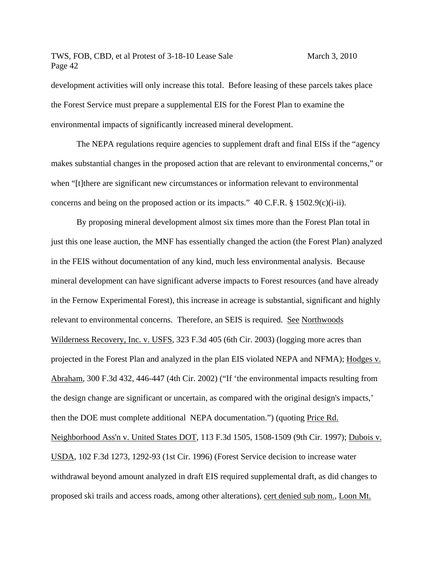development activities will only increase this total. Before leasing of these parcels takes place the Forest Service must prepare a supplemental EIS for the Forest Plan to examine the environmental impacts of significantly increased mineral development.

The NEPA regulations require agencies to supplement draft and final EISs if the "agency makes substantial changes in the proposed action that are relevant to environmental concerns," or when "[t]there are significant new circumstances or information relevant to environmental concerns and being on the proposed action or its impacts." 40 C.F.R. § 1502.9(c)(i-ii).

By proposing mineral development almost six times more than the Forest Plan total in just this one lease auction, the MNF has essentially changed the action (the Forest Plan) analyzed in the FEIS without documentation of any kind, much less environmental analysis. Because mineral development can have significant adverse impacts to Forest resources (and have already in the Fernow Experimental Forest), this increase in acreage is substantial, significant and highly relevant to environmental concerns. Therefore, an SEIS is required. See Northwoods Wilderness Recovery, Inc. v. USFS, 323 F.3d 405 (6th Cir. 2003) (logging more acres than projected in the Forest Plan and analyzed in the plan EIS violated NEPA and NFMA); Hodges v. Abraham, 300 F.3d 432, 446-447 (4th Cir. 2002) ("If 'the environmental impacts resulting from the design change are significant or uncertain, as compared with the original design's impacts,' then the DOE must complete additional NEPA documentation.") (quoting Price Rd. Neighborhood Ass'n v. United States DOT, 113 F.3d 1505, 1508-1509 (9th Cir. 1997); Dubois v. USDA, 102 F.3d 1273, 1292-93 (1st Cir. 1996) (Forest Service decision to increase water withdrawal beyond amount analyzed in draft EIS required supplemental draft, as did changes to proposed ski trails and access roads, among other alterations), cert denied sub nom., Loon Mt.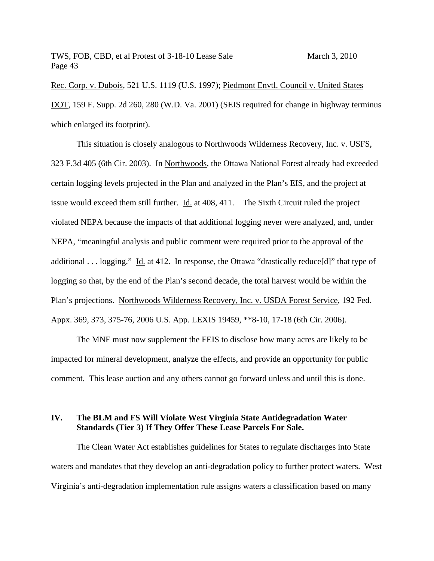Rec. Corp. v. Dubois, 521 U.S. 1119 (U.S. 1997); Piedmont Envtl. Council v. United States DOT, 159 F. Supp. 2d 260, 280 (W.D. Va. 2001) (SEIS required for change in highway terminus which enlarged its footprint).

This situation is closely analogous to Northwoods Wilderness Recovery, Inc. v. USFS, 323 F.3d 405 (6th Cir. 2003). In Northwoods, the Ottawa National Forest already had exceeded certain logging levels projected in the Plan and analyzed in the Plan's EIS, and the project at issue would exceed them still further. Id. at 408, 411. The Sixth Circuit ruled the project violated NEPA because the impacts of that additional logging never were analyzed, and, under NEPA, "meaningful analysis and public comment were required prior to the approval of the additional . . . logging." Id. at 412. In response, the Ottawa "drastically reduce[d]" that type of logging so that, by the end of the Plan's second decade, the total harvest would be within the Plan's projections. Northwoods Wilderness Recovery, Inc. v. USDA Forest Service, 192 Fed. Appx. 369, 373, 375-76, 2006 U.S. App. LEXIS 19459, \*\*8-10, 17-18 (6th Cir. 2006).

The MNF must now supplement the FEIS to disclose how many acres are likely to be impacted for mineral development, analyze the effects, and provide an opportunity for public comment. This lease auction and any others cannot go forward unless and until this is done.

## **IV. The BLM and FS Will Violate West Virginia State Antidegradation Water Standards (Tier 3) If They Offer These Lease Parcels For Sale.**

The Clean Water Act establishes guidelines for States to regulate discharges into State waters and mandates that they develop an anti-degradation policy to further protect waters. West Virginia's anti-degradation implementation rule assigns waters a classification based on many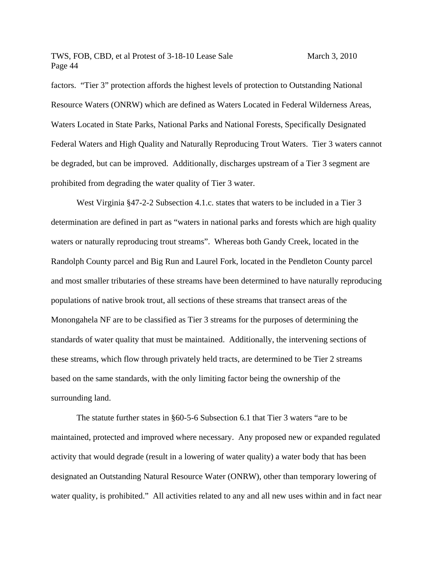factors. "Tier 3" protection affords the highest levels of protection to Outstanding National Resource Waters (ONRW) which are defined as Waters Located in Federal Wilderness Areas, Waters Located in State Parks, National Parks and National Forests, Specifically Designated Federal Waters and High Quality and Naturally Reproducing Trout Waters. Tier 3 waters cannot be degraded, but can be improved. Additionally, discharges upstream of a Tier 3 segment are prohibited from degrading the water quality of Tier 3 water.

West Virginia §47-2-2 Subsection 4.1.c. states that waters to be included in a Tier 3 determination are defined in part as "waters in national parks and forests which are high quality waters or naturally reproducing trout streams". Whereas both Gandy Creek, located in the Randolph County parcel and Big Run and Laurel Fork, located in the Pendleton County parcel and most smaller tributaries of these streams have been determined to have naturally reproducing populations of native brook trout, all sections of these streams that transect areas of the Monongahela NF are to be classified as Tier 3 streams for the purposes of determining the standards of water quality that must be maintained. Additionally, the intervening sections of these streams, which flow through privately held tracts, are determined to be Tier 2 streams based on the same standards, with the only limiting factor being the ownership of the surrounding land.

The statute further states in §60-5-6 Subsection 6.1 that Tier 3 waters "are to be maintained, protected and improved where necessary. Any proposed new or expanded regulated activity that would degrade (result in a lowering of water quality) a water body that has been designated an Outstanding Natural Resource Water (ONRW), other than temporary lowering of water quality, is prohibited." All activities related to any and all new uses within and in fact near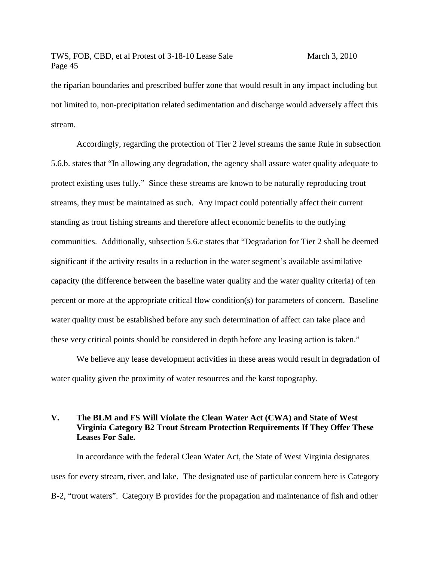the riparian boundaries and prescribed buffer zone that would result in any impact including but not limited to, non-precipitation related sedimentation and discharge would adversely affect this stream.

Accordingly, regarding the protection of Tier 2 level streams the same Rule in subsection 5.6.b. states that "In allowing any degradation, the agency shall assure water quality adequate to protect existing uses fully." Since these streams are known to be naturally reproducing trout streams, they must be maintained as such. Any impact could potentially affect their current standing as trout fishing streams and therefore affect economic benefits to the outlying communities. Additionally, subsection 5.6.c states that "Degradation for Tier 2 shall be deemed significant if the activity results in a reduction in the water segment's available assimilative capacity (the difference between the baseline water quality and the water quality criteria) of ten percent or more at the appropriate critical flow condition(s) for parameters of concern. Baseline water quality must be established before any such determination of affect can take place and these very critical points should be considered in depth before any leasing action is taken."

We believe any lease development activities in these areas would result in degradation of water quality given the proximity of water resources and the karst topography.

## **V. The BLM and FS Will Violate the Clean Water Act (CWA) and State of West Virginia Category B2 Trout Stream Protection Requirements If They Offer These Leases For Sale.**

In accordance with the federal Clean Water Act, the State of West Virginia designates uses for every stream, river, and lake. The designated use of particular concern here is Category B-2, "trout waters". Category B provides for the propagation and maintenance of fish and other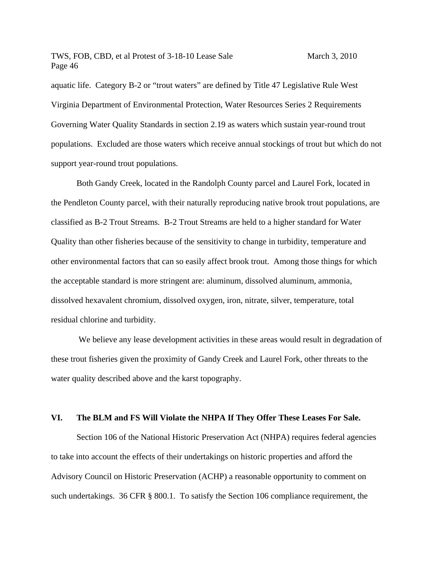aquatic life. Category B-2 or "trout waters" are defined by Title 47 Legislative Rule West Virginia Department of Environmental Protection, Water Resources Series 2 Requirements Governing Water Quality Standards in section 2.19 as waters which sustain year-round trout populations. Excluded are those waters which receive annual stockings of trout but which do not support year-round trout populations.

Both Gandy Creek, located in the Randolph County parcel and Laurel Fork, located in the Pendleton County parcel, with their naturally reproducing native brook trout populations, are classified as B-2 Trout Streams. B-2 Trout Streams are held to a higher standard for Water Quality than other fisheries because of the sensitivity to change in turbidity, temperature and other environmental factors that can so easily affect brook trout. Among those things for which the acceptable standard is more stringent are: aluminum, dissolved aluminum, ammonia, dissolved hexavalent chromium, dissolved oxygen, iron, nitrate, silver, temperature, total residual chlorine and turbidity.

We believe any lease development activities in these areas would result in degradation of these trout fisheries given the proximity of Gandy Creek and Laurel Fork, other threats to the water quality described above and the karst topography.

#### **VI. The BLM and FS Will Violate the NHPA If They Offer These Leases For Sale.**

Section 106 of the National Historic Preservation Act (NHPA) requires federal agencies to take into account the effects of their undertakings on historic properties and afford the Advisory Council on Historic Preservation (ACHP) a reasonable opportunity to comment on such undertakings. 36 CFR § 800.1. To satisfy the Section 106 compliance requirement, the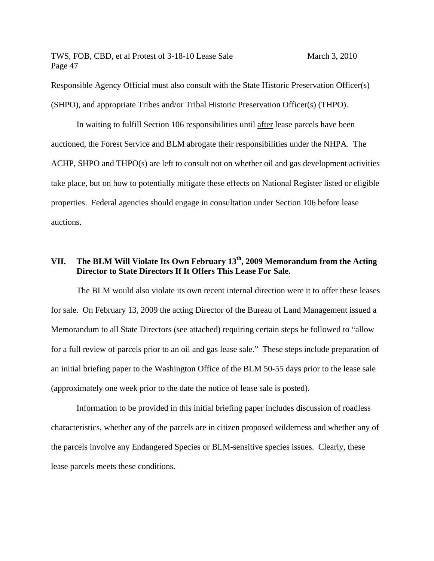Responsible Agency Official must also consult with the State Historic Preservation Officer(s) (SHPO), and appropriate Tribes and/or Tribal Historic Preservation Officer(s) (THPO).

In waiting to fulfill Section 106 responsibilities until after lease parcels have been auctioned, the Forest Service and BLM abrogate their responsibilities under the NHPA. The ACHP, SHPO and THPO(s) are left to consult not on whether oil and gas development activities take place, but on how to potentially mitigate these effects on National Register listed or eligible properties. Federal agencies should engage in consultation under Section 106 before lease auctions.

# **VII. The BLM Will Violate Its Own February 13th, 2009 Memorandum from the Acting Director to State Directors If It Offers This Lease For Sale.**

The BLM would also violate its own recent internal direction were it to offer these leases for sale. On February 13, 2009 the acting Director of the Bureau of Land Management issued a Memorandum to all State Directors (see attached) requiring certain steps be followed to "allow for a full review of parcels prior to an oil and gas lease sale." These steps include preparation of an initial briefing paper to the Washington Office of the BLM 50-55 days prior to the lease sale (approximately one week prior to the date the notice of lease sale is posted).

Information to be provided in this initial briefing paper includes discussion of roadless characteristics, whether any of the parcels are in citizen proposed wilderness and whether any of the parcels involve any Endangered Species or BLM-sensitive species issues. Clearly, these lease parcels meets these conditions.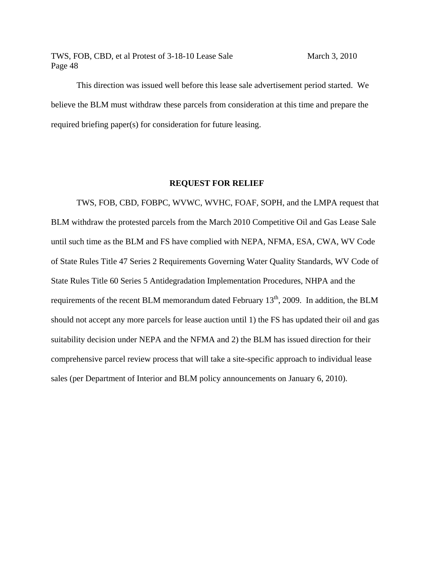This direction was issued well before this lease sale advertisement period started. We believe the BLM must withdraw these parcels from consideration at this time and prepare the required briefing paper(s) for consideration for future leasing.

#### **REQUEST FOR RELIEF**

 TWS, FOB, CBD, FOBPC, WVWC, WVHC, FOAF, SOPH, and the LMPA request that BLM withdraw the protested parcels from the March 2010 Competitive Oil and Gas Lease Sale until such time as the BLM and FS have complied with NEPA, NFMA, ESA, CWA, WV Code of State Rules Title 47 Series 2 Requirements Governing Water Quality Standards, WV Code of State Rules Title 60 Series 5 Antidegradation Implementation Procedures, NHPA and the requirements of the recent BLM memorandum dated February  $13<sup>th</sup>$ , 2009. In addition, the BLM should not accept any more parcels for lease auction until 1) the FS has updated their oil and gas suitability decision under NEPA and the NFMA and 2) the BLM has issued direction for their comprehensive parcel review process that will take a site-specific approach to individual lease sales (per Department of Interior and BLM policy announcements on January 6, 2010).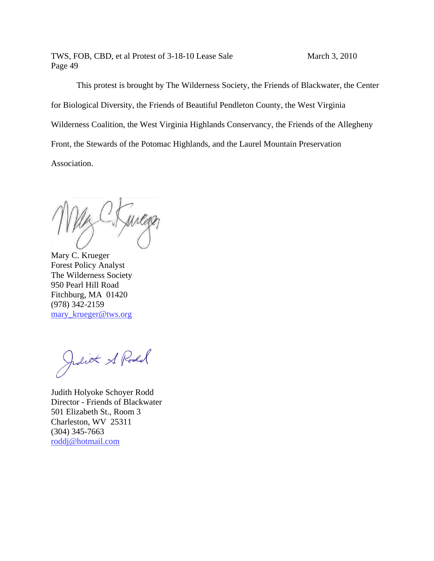TWS, FOB, CBD, et al Protest of 3-18-10 Lease Sale Page 49

March 3, 2010

This protest is brought by The Wilderness Society, the Friends of Blackwater, the Center for Biological Diversity, the Friends of Beautiful Pendleton County, the West Virginia Wilderness Coalition, the West Virginia Highlands Conservancy, the Friends of the Allegheny Front, the Stewards of the Potomac Highlands, and the Laurel Mountain Preservation Association.

Mary C. Krueger Forest Policy Analyst The Wilderness Society 950 Pearl Hill Road Fitchburg, MA 01420 (978) 342 2-2159 mary\_krueger@tws.org

Juliot & Rodd

Judith Holyoke Schoyer Rodd Director - Friends of Blackwater 501 Elizabeth St., Room 3 Charleston, WV 25311 (304) 345 5-7663 roddj@h hotmail.com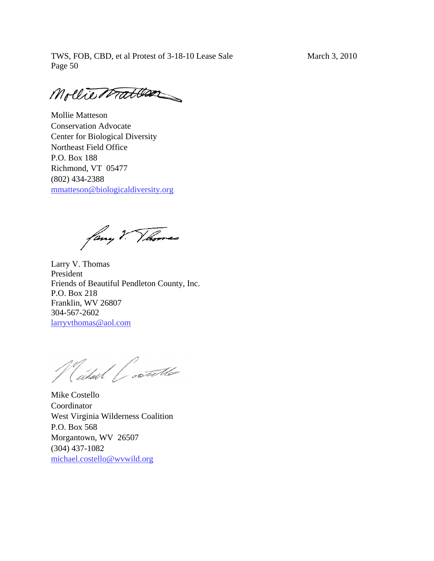Mollie Matten

Mollie Matteson Conservation Advocate Center for Biological Diversity Northeast Field Office P.O. Box 188 Richmond, VT 05477 (802) 434-2388 mmatteson@biologicaldiversity.org

fany ? Thomas

Larry V. Thomas President Friends of Beautiful Pendleton County, Inc. P.O. Box 218 Franklin, WV 26807 304-567-2602 larryvthomas@aol.com

Wilhard Contraction

Mike Costello Coordinator West Virginia Wilderness Coalition P.O. Box 568 Morgantown, WV 26507 (304) 437-1082 michael.costello@wvwild.org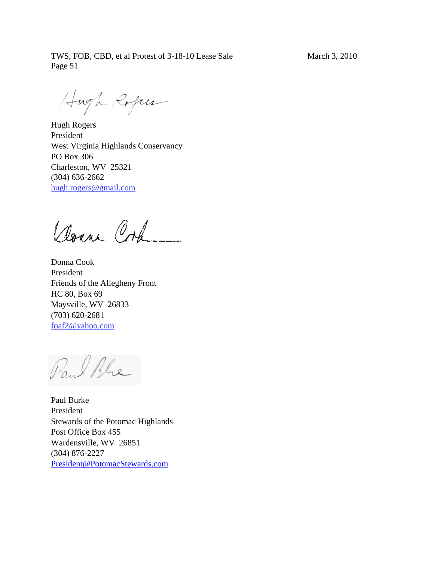Hugh Roger

Hugh Rogers President West Virginia Highlands Conservancy PO Box 306 Charleston, WV 25321 (304) 636-2662 hugh.rogers@gmail.com

Down Ork

Donna Cook President Friends of the Allegheny Front HC 80, Box 69 Maysville, WV 26833 (703) 620-2681 foaf2@yahoo.com

Paul Ble

Paul Burke President Stewards of the Potomac Highlands Post Office Box 455 Wardensville, WV 26851 (304) 876-2227 President@PotomacStewards.com